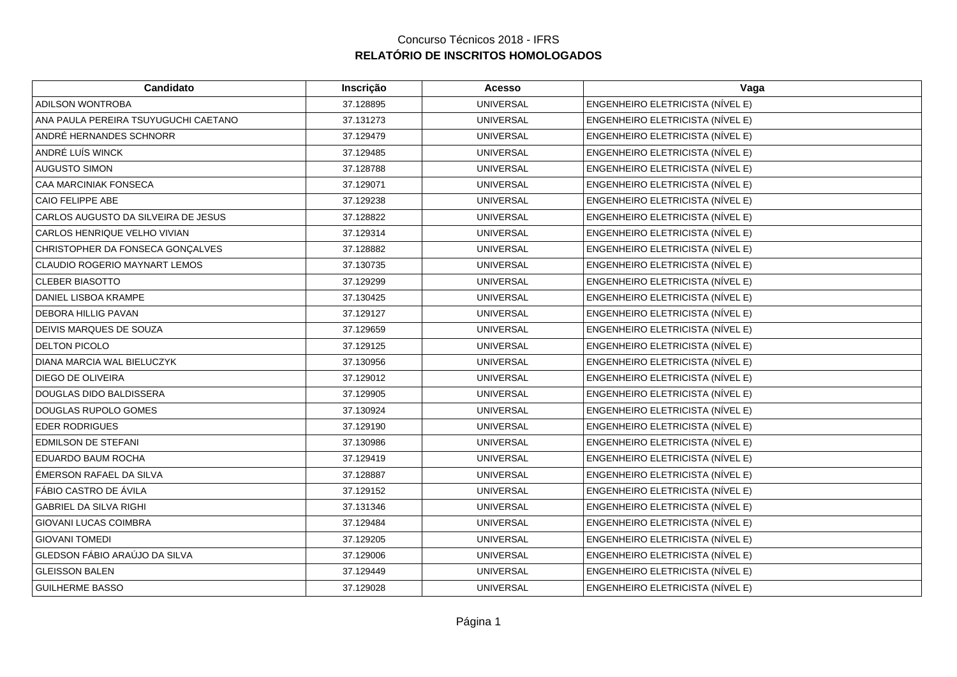| Candidato                            | Inscrição | <b>Acesso</b>    | Vaga                             |
|--------------------------------------|-----------|------------------|----------------------------------|
| ADILSON WONTROBA                     | 37.128895 | <b>UNIVERSAL</b> | ENGENHEIRO ELETRICISTA (NÍVEL E) |
| ANA PAULA PEREIRA TSUYUGUCHI CAETANO | 37.131273 | <b>UNIVERSAL</b> | ENGENHEIRO ELETRICISTA (NÍVEL E) |
| ANDRÉ HERNANDES SCHNORR              | 37.129479 | <b>UNIVERSAL</b> | ENGENHEIRO ELETRICISTA (NÍVEL E) |
| ANDRÉ LUÍS WINCK                     | 37.129485 | <b>UNIVERSAL</b> | ENGENHEIRO ELETRICISTA (NÍVEL E) |
| <b>AUGUSTO SIMON</b>                 | 37.128788 | <b>UNIVERSAL</b> | ENGENHEIRO ELETRICISTA (NÍVEL E) |
| CAA MARCINIAK FONSECA                | 37.129071 | <b>UNIVERSAL</b> | ENGENHEIRO ELETRICISTA (NÍVEL E) |
| CAIO FELIPPE ABE                     | 37.129238 | <b>UNIVERSAL</b> | ENGENHEIRO ELETRICISTA (NÍVEL E) |
| CARLOS AUGUSTO DA SILVEIRA DE JESUS  | 37.128822 | <b>UNIVERSAL</b> | ENGENHEIRO ELETRICISTA (NÍVEL E) |
| CARLOS HENRIQUE VELHO VIVIAN         | 37.129314 | <b>UNIVERSAL</b> | ENGENHEIRO ELETRICISTA (NÍVEL E) |
| CHRISTOPHER DA FONSECA GONÇALVES     | 37.128882 | <b>UNIVERSAL</b> | ENGENHEIRO ELETRICISTA (NÍVEL E) |
| CLAUDIO ROGERIO MAYNART LEMOS        | 37.130735 | <b>UNIVERSAL</b> | ENGENHEIRO ELETRICISTA (NÍVEL E) |
| <b>CLEBER BIASOTTO</b>               | 37.129299 | <b>UNIVERSAL</b> | ENGENHEIRO ELETRICISTA (NÍVEL E) |
| DANIEL LISBOA KRAMPE                 | 37.130425 | <b>UNIVERSAL</b> | ENGENHEIRO ELETRICISTA (NÍVEL E) |
| <b>DEBORA HILLIG PAVAN</b>           | 37.129127 | <b>UNIVERSAL</b> | ENGENHEIRO ELETRICISTA (NÍVEL E) |
| DEIVIS MARQUES DE SOUZA              | 37.129659 | <b>UNIVERSAL</b> | ENGENHEIRO ELETRICISTA (NÍVEL E) |
| <b>DELTON PICOLO</b>                 | 37.129125 | <b>UNIVERSAL</b> | ENGENHEIRO ELETRICISTA (NÍVEL E) |
| DIANA MARCIA WAL BIELUCZYK           | 37.130956 | <b>UNIVERSAL</b> | ENGENHEIRO ELETRICISTA (NÍVEL E) |
| DIEGO DE OLIVEIRA                    | 37.129012 | <b>UNIVERSAL</b> | ENGENHEIRO ELETRICISTA (NÍVEL E) |
| <b>DOUGLAS DIDO BALDISSERA</b>       | 37.129905 | <b>UNIVERSAL</b> | ENGENHEIRO ELETRICISTA (NÍVEL E) |
| DOUGLAS RUPOLO GOMES                 | 37.130924 | <b>UNIVERSAL</b> | ENGENHEIRO ELETRICISTA (NÍVEL E) |
| <b>EDER RODRIGUES</b>                | 37.129190 | <b>UNIVERSAL</b> | ENGENHEIRO ELETRICISTA (NÍVEL E) |
| <b>EDMILSON DE STEFANI</b>           | 37.130986 | <b>UNIVERSAL</b> | ENGENHEIRO ELETRICISTA (NÍVEL E) |
| EDUARDO BAUM ROCHA                   | 37.129419 | <b>UNIVERSAL</b> | ENGENHEIRO ELETRICISTA (NÍVEL E) |
| ÉMERSON RAFAEL DA SILVA              | 37.128887 | <b>UNIVERSAL</b> | ENGENHEIRO ELETRICISTA (NÍVEL E) |
| FÁBIO CASTRO DE ÁVILA                | 37.129152 | <b>UNIVERSAL</b> | ENGENHEIRO ELETRICISTA (NÍVEL E) |
| <b>GABRIEL DA SILVA RIGHI</b>        | 37.131346 | <b>UNIVERSAL</b> | ENGENHEIRO ELETRICISTA (NÍVEL E) |
| <b>GIOVANI LUCAS COIMBRA</b>         | 37.129484 | <b>UNIVERSAL</b> | ENGENHEIRO ELETRICISTA (NÍVEL E) |
| <b>GIOVANI TOMEDI</b>                | 37.129205 | <b>UNIVERSAL</b> | ENGENHEIRO ELETRICISTA (NÍVEL E) |
| GLEDSON FÁBIO ARAÚJO DA SILVA        | 37.129006 | <b>UNIVERSAL</b> | ENGENHEIRO ELETRICISTA (NÍVEL E) |
| <b>GLEISSON BALEN</b>                | 37.129449 | <b>UNIVERSAL</b> | ENGENHEIRO ELETRICISTA (NÍVEL E) |
| <b>GUILHERME BASSO</b>               | 37.129028 | <b>UNIVERSAL</b> | ENGENHEIRO ELETRICISTA (NÍVEL E) |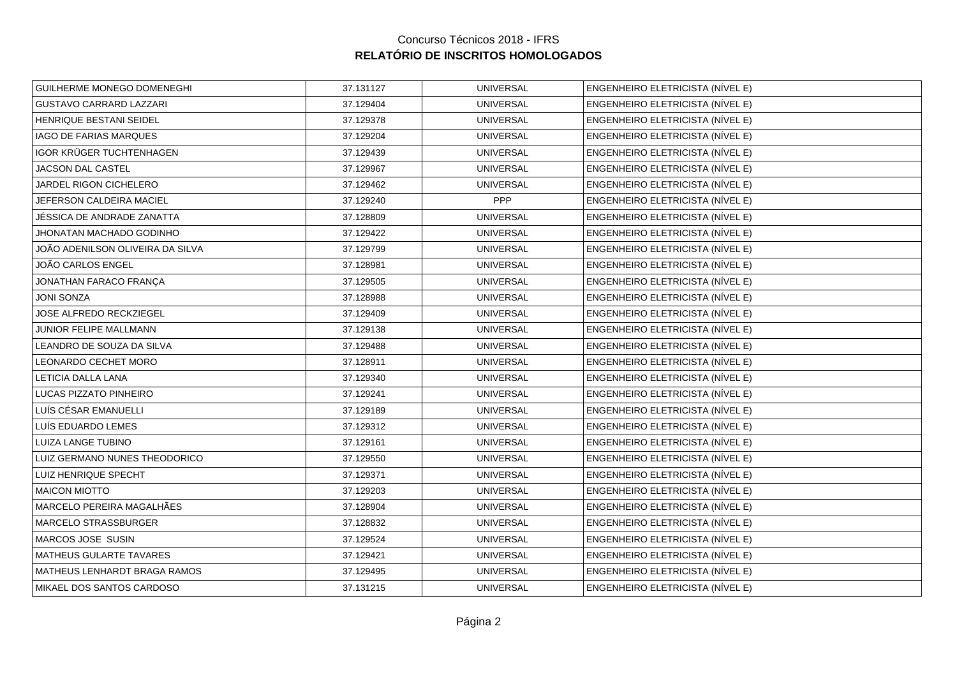| GUILHERME MONEGO DOMENEGHI       | 37.131127 | <b>UNIVERSAL</b> | ENGENHEIRO ELETRICISTA (NÍVEL E) |
|----------------------------------|-----------|------------------|----------------------------------|
| <b>GUSTAVO CARRARD LAZZARI</b>   | 37.129404 | <b>UNIVERSAL</b> | ENGENHEIRO ELETRICISTA (NÍVEL E) |
| HENRIQUE BESTANI SEIDEL          | 37.129378 | <b>UNIVERSAL</b> | ENGENHEIRO ELETRICISTA (NÍVEL E) |
| <b>IAGO DE FARIAS MARQUES</b>    | 37.129204 | <b>UNIVERSAL</b> | ENGENHEIRO ELETRICISTA (NÍVEL E) |
| IGOR KRÜGER TUCHTENHAGEN         | 37.129439 | <b>UNIVERSAL</b> | ENGENHEIRO ELETRICISTA (NÍVEL E) |
| JACSON DAL CASTEL                | 37.129967 | <b>UNIVERSAL</b> | ENGENHEIRO ELETRICISTA (NÍVEL E) |
| JARDEL RIGON CICHELERO           | 37.129462 | <b>UNIVERSAL</b> | ENGENHEIRO ELETRICISTA (NÍVEL E) |
| JEFERSON CALDEIRA MACIEL         | 37.129240 | <b>PPP</b>       | ENGENHEIRO ELETRICISTA (NÍVEL E) |
| JÉSSICA DE ANDRADE ZANATTA       | 37.128809 | <b>UNIVERSAL</b> | ENGENHEIRO ELETRICISTA (NÍVEL E) |
| JHONATAN MACHADO GODINHO         | 37.129422 | <b>UNIVERSAL</b> | ENGENHEIRO ELETRICISTA (NÍVEL E) |
| JOÃO ADENILSON OLIVEIRA DA SILVA | 37.129799 | <b>UNIVERSAL</b> | ENGENHEIRO ELETRICISTA (NÍVEL E) |
| JOÃO CARLOS ENGEL                | 37.128981 | <b>UNIVERSAL</b> | ENGENHEIRO ELETRICISTA (NÍVEL E) |
| JONATHAN FARACO FRANÇA           | 37.129505 | <b>UNIVERSAL</b> | ENGENHEIRO ELETRICISTA (NÍVEL E) |
| <b>JONI SONZA</b>                | 37.128988 | <b>UNIVERSAL</b> | ENGENHEIRO ELETRICISTA (NÍVEL E) |
| JOSE ALFREDO RECKZIEGEL          | 37.129409 | <b>UNIVERSAL</b> | ENGENHEIRO ELETRICISTA (NÍVEL E) |
| JUNIOR FELIPE MALLMANN           | 37.129138 | <b>UNIVERSAL</b> | ENGENHEIRO ELETRICISTA (NÍVEL E) |
| LEANDRO DE SOUZA DA SILVA        | 37.129488 | <b>UNIVERSAL</b> | ENGENHEIRO ELETRICISTA (NÍVEL E) |
| LEONARDO CECHET MORO             | 37.128911 | <b>UNIVERSAL</b> | ENGENHEIRO ELETRICISTA (NÍVEL E) |
| LETICIA DALLA LANA               | 37.129340 | <b>UNIVERSAL</b> | ENGENHEIRO ELETRICISTA (NÍVEL E) |
| LUCAS PIZZATO PINHEIRO           | 37.129241 | <b>UNIVERSAL</b> | ENGENHEIRO ELETRICISTA (NÍVEL E) |
| LUÍS CÉSAR EMANUELLI             | 37.129189 | <b>UNIVERSAL</b> | ENGENHEIRO ELETRICISTA (NÍVEL E) |
| LUÍS EDUARDO LEMES               | 37.129312 | <b>UNIVERSAL</b> | ENGENHEIRO ELETRICISTA (NÍVEL E) |
| LUIZA LANGE TUBINO               | 37.129161 | <b>UNIVERSAL</b> | ENGENHEIRO ELETRICISTA (NÍVEL E) |
| LUIZ GERMANO NUNES THEODORICO    | 37.129550 | <b>UNIVERSAL</b> | ENGENHEIRO ELETRICISTA (NÍVEL E) |
| LUIZ HENRIQUE SPECHT             | 37.129371 | <b>UNIVERSAL</b> | ENGENHEIRO ELETRICISTA (NÍVEL E) |
| <b>MAICON MIOTTO</b>             | 37.129203 | <b>UNIVERSAL</b> | ENGENHEIRO ELETRICISTA (NÍVEL E) |
| MARCELO PEREIRA MAGALHÃES        | 37.128904 | <b>UNIVERSAL</b> | ENGENHEIRO ELETRICISTA (NÍVEL E) |
| MARCELO STRASSBURGER             | 37.128832 | <b>UNIVERSAL</b> | ENGENHEIRO ELETRICISTA (NÍVEL E) |
| MARCOS JOSE SUSIN                | 37.129524 | <b>UNIVERSAL</b> | ENGENHEIRO ELETRICISTA (NÍVEL E) |
| MATHEUS GULARTE TAVARES          | 37.129421 | <b>UNIVERSAL</b> | ENGENHEIRO ELETRICISTA (NÍVEL E) |
| MATHEUS LENHARDT BRAGA RAMOS     | 37.129495 | <b>UNIVERSAL</b> | ENGENHEIRO ELETRICISTA (NÍVEL E) |
| MIKAEL DOS SANTOS CARDOSO        | 37.131215 | <b>UNIVERSAL</b> | ENGENHEIRO ELETRICISTA (NÍVEL E) |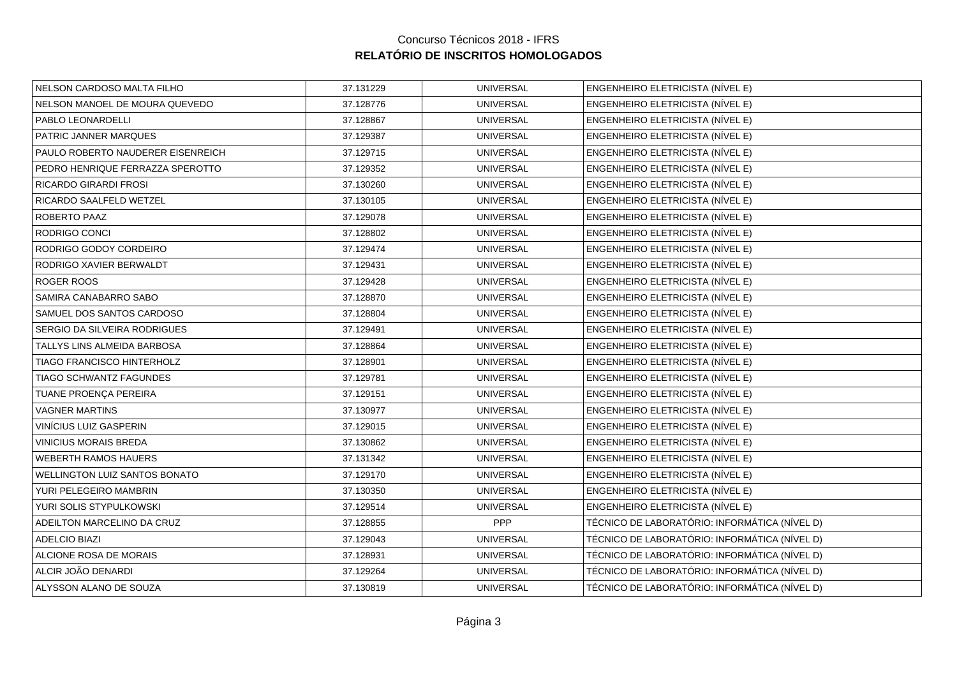| NELSON CARDOSO MALTA FILHO        | 37.131229 | <b>UNIVERSAL</b> | ENGENHEIRO ELETRICISTA (NÍVEL E)              |
|-----------------------------------|-----------|------------------|-----------------------------------------------|
| NELSON MANOEL DE MOURA QUEVEDO    | 37.128776 | <b>UNIVERSAL</b> | ENGENHEIRO ELETRICISTA (NÍVEL E)              |
| PABLO LEONARDELLI                 | 37.128867 | <b>UNIVERSAL</b> | ENGENHEIRO ELETRICISTA (NÍVEL E)              |
| PATRIC JANNER MARQUES             | 37.129387 | <b>UNIVERSAL</b> | ENGENHEIRO ELETRICISTA (NÍVEL E)              |
| PAULO ROBERTO NAUDERER EISENREICH | 37.129715 | <b>UNIVERSAL</b> | ENGENHEIRO ELETRICISTA (NÍVEL E)              |
| PEDRO HENRIQUE FERRAZZA SPEROTTO  | 37.129352 | <b>UNIVERSAL</b> | ENGENHEIRO ELETRICISTA (NÍVEL E)              |
| <b>RICARDO GIRARDI FROSI</b>      | 37.130260 | <b>UNIVERSAL</b> | ENGENHEIRO ELETRICISTA (NÍVEL E)              |
| RICARDO SAALFELD WETZEL           | 37.130105 | <b>UNIVERSAL</b> | ENGENHEIRO ELETRICISTA (NÍVEL E)              |
| <b>ROBERTO PAAZ</b>               | 37.129078 | <b>UNIVERSAL</b> | ENGENHEIRO ELETRICISTA (NÍVEL E)              |
| RODRIGO CONCI                     | 37.128802 | <b>UNIVERSAL</b> | ENGENHEIRO ELETRICISTA (NÍVEL E)              |
| RODRIGO GODOY CORDEIRO            | 37.129474 | <b>UNIVERSAL</b> | ENGENHEIRO ELETRICISTA (NÍVEL E)              |
| RODRIGO XAVIER BERWALDT           | 37.129431 | <b>UNIVERSAL</b> | ENGENHEIRO ELETRICISTA (NÍVEL E)              |
| ROGER ROOS                        | 37.129428 | <b>UNIVERSAL</b> | ENGENHEIRO ELETRICISTA (NÍVEL E)              |
| SAMIRA CANABARRO SABO             | 37.128870 | <b>UNIVERSAL</b> | ENGENHEIRO ELETRICISTA (NÍVEL E)              |
| SAMUEL DOS SANTOS CARDOSO         | 37.128804 | <b>UNIVERSAL</b> | ENGENHEIRO ELETRICISTA (NÍVEL E)              |
| SERGIO DA SILVEIRA RODRIGUES      | 37.129491 | <b>UNIVERSAL</b> | ENGENHEIRO ELETRICISTA (NÍVEL E)              |
| TALLYS LINS ALMEIDA BARBOSA       | 37.128864 | <b>UNIVERSAL</b> | ENGENHEIRO ELETRICISTA (NÍVEL E)              |
| TIAGO FRANCISCO HINTERHOLZ        | 37.128901 | <b>UNIVERSAL</b> | ENGENHEIRO ELETRICISTA (NÍVEL E)              |
| TIAGO SCHWANTZ FAGUNDES           | 37.129781 | <b>UNIVERSAL</b> | ENGENHEIRO ELETRICISTA (NÍVEL E)              |
| TUANE PROENÇA PEREIRA             | 37.129151 | <b>UNIVERSAL</b> | ENGENHEIRO ELETRICISTA (NÍVEL E)              |
| <b>VAGNER MARTINS</b>             | 37.130977 | <b>UNIVERSAL</b> | ENGENHEIRO ELETRICISTA (NÍVEL E)              |
| VINÍCIUS LUIZ GASPERIN            | 37.129015 | <b>UNIVERSAL</b> | ENGENHEIRO ELETRICISTA (NÍVEL E)              |
| <b>VINICIUS MORAIS BREDA</b>      | 37.130862 | <b>UNIVERSAL</b> | ENGENHEIRO ELETRICISTA (NÍVEL E)              |
| <b>WEBERTH RAMOS HAUERS</b>       | 37.131342 | <b>UNIVERSAL</b> | ENGENHEIRO ELETRICISTA (NÍVEL E)              |
| WELLINGTON LUIZ SANTOS BONATO     | 37.129170 | <b>UNIVERSAL</b> | ENGENHEIRO ELETRICISTA (NÍVEL E)              |
| YURI PELEGEIRO MAMBRIN            | 37.130350 | <b>UNIVERSAL</b> | ENGENHEIRO ELETRICISTA (NÍVEL E)              |
| YURI SOLIS STYPULKOWSKI           | 37.129514 | <b>UNIVERSAL</b> | ENGENHEIRO ELETRICISTA (NÍVEL E)              |
| ADEILTON MARCELINO DA CRUZ        | 37.128855 | PPP              | TÉCNICO DE LABORATÓRIO: INFORMÁTICA (NÍVEL D) |
| <b>ADELCIO BIAZI</b>              | 37.129043 | <b>UNIVERSAL</b> | TÉCNICO DE LABORATÓRIO: INFORMÁTICA (NÍVEL D) |
| ALCIONE ROSA DE MORAIS            | 37.128931 | <b>UNIVERSAL</b> | TÉCNICO DE LABORATÓRIO: INFORMÁTICA (NÍVEL D) |
| ALCIR JOÃO DENARDI                | 37.129264 | <b>UNIVERSAL</b> | TÉCNICO DE LABORATÓRIO: INFORMÁTICA (NÍVEL D) |
| ALYSSON ALANO DE SOUZA            | 37.130819 | <b>UNIVERSAL</b> | TÉCNICO DE LABORATÓRIO: INFORMÁTICA (NÍVEL D) |
|                                   |           |                  |                                               |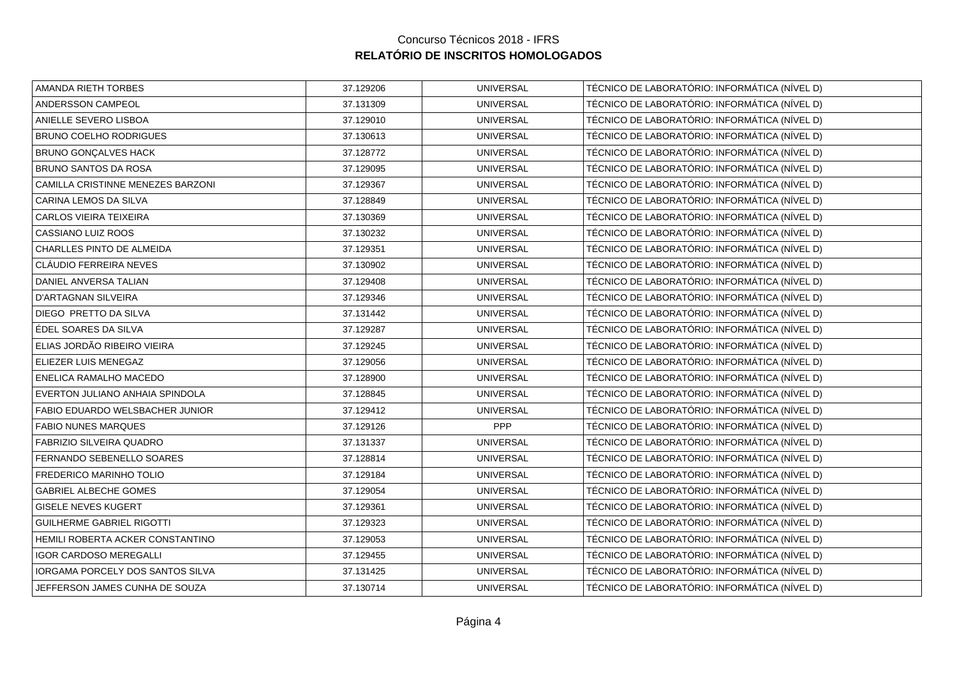| AMANDA RIETH TORBES               | 37.129206 | <b>UNIVERSAL</b> | TÉCNICO DE LABORATÓRIO: INFORMÁTICA (NÍVEL D) |
|-----------------------------------|-----------|------------------|-----------------------------------------------|
| ANDERSSON CAMPEOL                 | 37.131309 | <b>UNIVERSAL</b> | TÉCNICO DE LABORATÓRIO: INFORMÁTICA (NÍVEL D) |
| ANIELLE SEVERO LISBOA             | 37.129010 | <b>UNIVERSAL</b> | TÉCNICO DE LABORATÓRIO: INFORMÁTICA (NÍVEL D) |
| BRUNO COELHO RODRIGUES            | 37.130613 | <b>UNIVERSAL</b> | TÉCNICO DE LABORATÓRIO: INFORMÁTICA (NÍVEL D) |
| BRUNO GONÇALVES HACK              | 37.128772 | <b>UNIVERSAL</b> | TÉCNICO DE LABORATÓRIO: INFORMÁTICA (NÍVEL D) |
| BRUNO SANTOS DA ROSA              | 37.129095 | <b>UNIVERSAL</b> | TÉCNICO DE LABORATÓRIO: INFORMÁTICA (NÍVEL D) |
| CAMILLA CRISTINNE MENEZES BARZONI | 37.129367 | <b>UNIVERSAL</b> | TÉCNICO DE LABORATÓRIO: INFORMÁTICA (NÍVEL D) |
| CARINA LEMOS DA SILVA             | 37.128849 | <b>UNIVERSAL</b> | TÉCNICO DE LABORATÓRIO: INFORMÁTICA (NÍVEL D) |
| CARLOS VIEIRA TEIXEIRA            | 37.130369 | <b>UNIVERSAL</b> | TÉCNICO DE LABORATÓRIO: INFORMÁTICA (NÍVEL D) |
| CASSIANO LUIZ ROOS                | 37.130232 | <b>UNIVERSAL</b> | TÉCNICO DE LABORATÓRIO: INFORMÁTICA (NÍVEL D) |
| CHARLLES PINTO DE ALMEIDA         | 37.129351 | <b>UNIVERSAL</b> | TÉCNICO DE LABORATÓRIO: INFORMÁTICA (NÍVEL D) |
| CLÁUDIO FERREIRA NEVES            | 37.130902 | <b>UNIVERSAL</b> | TÉCNICO DE LABORATÓRIO: INFORMÁTICA (NÍVEL D) |
| DANIEL ANVERSA TALIAN             | 37.129408 | <b>UNIVERSAL</b> | TÉCNICO DE LABORATÓRIO: INFORMÁTICA (NÍVEL D) |
| D'ARTAGNAN SILVEIRA               | 37.129346 | <b>UNIVERSAL</b> | TÉCNICO DE LABORATÓRIO: INFORMÁTICA (NÍVEL D) |
| DIEGO PRETTO DA SILVA             | 37.131442 | <b>UNIVERSAL</b> | TÉCNICO DE LABORATÓRIO: INFORMÁTICA (NÍVEL D) |
| ÉDEL SOARES DA SILVA              | 37.129287 | <b>UNIVERSAL</b> | TÉCNICO DE LABORATÓRIO: INFORMÁTICA (NÍVEL D) |
| ELIAS JORDÃO RIBEIRO VIEIRA       | 37.129245 | <b>UNIVERSAL</b> | TÉCNICO DE LABORATÓRIO: INFORMÁTICA (NÍVEL D) |
| ELIEZER LUIS MENEGAZ              | 37.129056 | <b>UNIVERSAL</b> | TÉCNICO DE LABORATÓRIO: INFORMÁTICA (NÍVEL D) |
| ENELICA RAMALHO MACEDO            | 37.128900 | <b>UNIVERSAL</b> | TÉCNICO DE LABORATÓRIO: INFORMÁTICA (NÍVEL D) |
| EVERTON JULIANO ANHAIA SPINDOLA   | 37.128845 | <b>UNIVERSAL</b> | TÉCNICO DE LABORATÓRIO: INFORMÁTICA (NÍVEL D) |
| FABIO EDUARDO WELSBACHER JUNIOR   | 37.129412 | <b>UNIVERSAL</b> | TÉCNICO DE LABORATÓRIO: INFORMÁTICA (NÍVEL D) |
| <b>FABIO NUNES MARQUES</b>        | 37.129126 | PPP              | TÉCNICO DE LABORATÓRIO: INFORMÁTICA (NÍVEL D) |
| FABRIZIO SILVEIRA QUADRO          | 37.131337 | <b>UNIVERSAL</b> | TÉCNICO DE LABORATÓRIO: INFORMÁTICA (NÍVEL D) |
| FERNANDO SEBENELLO SOARES         | 37.128814 | <b>UNIVERSAL</b> | TÉCNICO DE LABORATÓRIO: INFORMÁTICA (NÍVEL D) |
| FREDERICO MARINHO TOLIO           | 37.129184 | <b>UNIVERSAL</b> | TÉCNICO DE LABORATÓRIO: INFORMÁTICA (NÍVEL D) |
| <b>GABRIEL ALBECHE GOMES</b>      | 37.129054 | <b>UNIVERSAL</b> | TÉCNICO DE LABORATÓRIO: INFORMÁTICA (NÍVEL D) |
| <b>GISELE NEVES KUGERT</b>        | 37.129361 | <b>UNIVERSAL</b> | TÉCNICO DE LABORATÓRIO: INFORMÁTICA (NÍVEL D) |
| <b>GUILHERME GABRIEL RIGOTTI</b>  | 37.129323 | <b>UNIVERSAL</b> | TÉCNICO DE LABORATÓRIO: INFORMÁTICA (NÍVEL D) |
| HEMILI ROBERTA ACKER CONSTANTINO  | 37.129053 | <b>UNIVERSAL</b> | TÉCNICO DE LABORATÓRIO: INFORMÁTICA (NÍVEL D) |
| <b>IGOR CARDOSO MEREGALLI</b>     | 37.129455 | <b>UNIVERSAL</b> | TÉCNICO DE LABORATÓRIO: INFORMÁTICA (NÍVEL D) |
| IORGAMA PORCELY DOS SANTOS SILVA  | 37.131425 | <b>UNIVERSAL</b> | TÉCNICO DE LABORATÓRIO: INFORMÁTICA (NÍVEL D) |
| JEFFERSON JAMES CUNHA DE SOUZA    | 37.130714 | <b>UNIVERSAL</b> | TÉCNICO DE LABORATÓRIO: INFORMÁTICA (NÍVEL D) |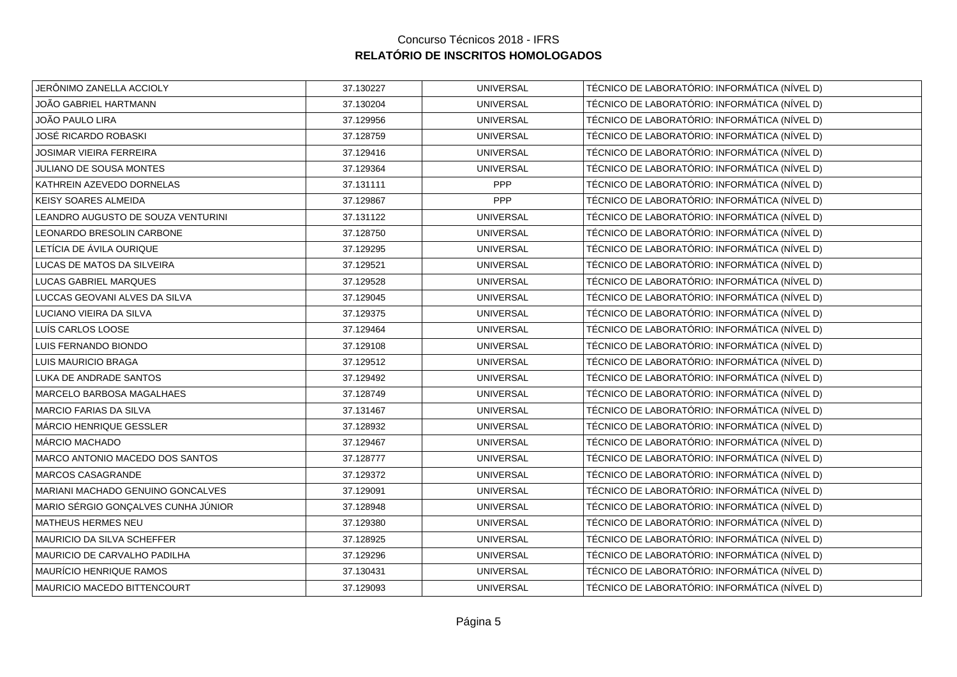| JERÔNIMO ZANELLA ACCIOLY            | 37.130227 | <b>UNIVERSAL</b> | TÉCNICO DE LABORATÓRIO: INFORMÁTICA (NÍVEL D) |
|-------------------------------------|-----------|------------------|-----------------------------------------------|
| JOÃO GABRIEL HARTMANN               | 37.130204 | <b>UNIVERSAL</b> | TÉCNICO DE LABORATÓRIO: INFORMÁTICA (NÍVEL D) |
| JOÃO PAULO LIRA                     | 37.129956 | <b>UNIVERSAL</b> | TÉCNICO DE LABORATÓRIO: INFORMÁTICA (NÍVEL D) |
| JOSÉ RICARDO ROBASKI                | 37.128759 | <b>UNIVERSAL</b> | TÉCNICO DE LABORATÓRIO: INFORMÁTICA (NÍVEL D) |
| <b>JOSIMAR VIEIRA FERREIRA</b>      | 37.129416 | <b>UNIVERSAL</b> | TÉCNICO DE LABORATÓRIO: INFORMÁTICA (NÍVEL D) |
| JULIANO DE SOUSA MONTES             | 37.129364 | <b>UNIVERSAL</b> | TÉCNICO DE LABORATÓRIO: INFORMÁTICA (NÍVEL D) |
| KATHREIN AZEVEDO DORNELAS           | 37.131111 | <b>PPP</b>       | TÉCNICO DE LABORATÓRIO: INFORMÁTICA (NÍVEL D) |
| KEISY SOARES ALMEIDA                | 37.129867 | <b>PPP</b>       | TÉCNICO DE LABORATÓRIO: INFORMÁTICA (NÍVEL D) |
| LEANDRO AUGUSTO DE SOUZA VENTURINI  | 37.131122 | <b>UNIVERSAL</b> | TÉCNICO DE LABORATÓRIO: INFORMÁTICA (NÍVEL D) |
| LEONARDO BRESOLIN CARBONE           | 37.128750 | <b>UNIVERSAL</b> | TÉCNICO DE LABORATÓRIO: INFORMÁTICA (NÍVEL D) |
| LETÍCIA DE ÁVILA OURIQUE            | 37.129295 | <b>UNIVERSAL</b> | TÉCNICO DE LABORATÓRIO: INFORMÁTICA (NÍVEL D) |
| LUCAS DE MATOS DA SILVEIRA          | 37.129521 | <b>UNIVERSAL</b> | TÉCNICO DE LABORATÓRIO: INFORMÁTICA (NÍVEL D) |
| LUCAS GABRIEL MARQUES               | 37.129528 | <b>UNIVERSAL</b> | TÉCNICO DE LABORATÓRIO: INFORMÁTICA (NÍVEL D) |
| LUCCAS GEOVANI ALVES DA SILVA       | 37.129045 | <b>UNIVERSAL</b> | TÉCNICO DE LABORATÓRIO: INFORMÁTICA (NÍVEL D) |
| LUCIANO VIEIRA DA SILVA             | 37.129375 | <b>UNIVERSAL</b> | TÉCNICO DE LABORATÓRIO: INFORMÁTICA (NÍVEL D) |
| LUÍS CARLOS LOOSE                   | 37.129464 | <b>UNIVERSAL</b> | TÉCNICO DE LABORATÓRIO: INFORMÁTICA (NÍVEL D) |
| LUIS FERNANDO BIONDO                | 37.129108 | <b>UNIVERSAL</b> | TÉCNICO DE LABORATÓRIO: INFORMÁTICA (NÍVEL D) |
| LUIS MAURICIO BRAGA                 | 37.129512 | <b>UNIVERSAL</b> | TÉCNICO DE LABORATÓRIO: INFORMÁTICA (NÍVEL D) |
| LUKA DE ANDRADE SANTOS              | 37.129492 | <b>UNIVERSAL</b> | TÉCNICO DE LABORATÓRIO: INFORMÁTICA (NÍVEL D) |
| MARCELO BARBOSA MAGALHAES           | 37.128749 | <b>UNIVERSAL</b> | TÉCNICO DE LABORATÓRIO: INFORMÁTICA (NÍVEL D) |
| MARCIO FARIAS DA SILVA              | 37.131467 | <b>UNIVERSAL</b> | TÉCNICO DE LABORATÓRIO: INFORMÁTICA (NÍVEL D) |
| MÁRCIO HENRIQUE GESSLER             | 37.128932 | <b>UNIVERSAL</b> | TÉCNICO DE LABORATÓRIO: INFORMÁTICA (NÍVEL D) |
| MÁRCIO MACHADO                      | 37.129467 | <b>UNIVERSAL</b> | TÉCNICO DE LABORATÓRIO: INFORMÁTICA (NÍVEL D) |
| MARCO ANTONIO MACEDO DOS SANTOS     | 37.128777 | <b>UNIVERSAL</b> | TÉCNICO DE LABORATÓRIO: INFORMÁTICA (NÍVEL D) |
| MARCOS CASAGRANDE                   | 37.129372 | <b>UNIVERSAL</b> | TÉCNICO DE LABORATÓRIO: INFORMÁTICA (NÍVEL D) |
| MARIANI MACHADO GENUINO GONCALVES   | 37.129091 | <b>UNIVERSAL</b> | TÉCNICO DE LABORATÓRIO: INFORMÁTICA (NÍVEL D) |
| MARIO SÉRGIO GONÇALVES CUNHA JÚNIOR | 37.128948 | <b>UNIVERSAL</b> | TÉCNICO DE LABORATÓRIO: INFORMÁTICA (NÍVEL D) |
| MATHEUS HERMES NEU                  | 37.129380 | <b>UNIVERSAL</b> | TÉCNICO DE LABORATÓRIO: INFORMÁTICA (NÍVEL D) |
| MAURICIO DA SILVA SCHEFFER          | 37.128925 | <b>UNIVERSAL</b> | TÉCNICO DE LABORATÓRIO: INFORMÁTICA (NÍVEL D) |
| MAURICIO DE CARVALHO PADILHA        | 37.129296 | <b>UNIVERSAL</b> | TÉCNICO DE LABORATÓRIO: INFORMÁTICA (NÍVEL D) |
| MAURÍCIO HENRIQUE RAMOS             | 37.130431 | <b>UNIVERSAL</b> | TÉCNICO DE LABORATÓRIO: INFORMÁTICA (NÍVEL D) |
| MAURICIO MACEDO BITTENCOURT         | 37.129093 | <b>UNIVERSAL</b> | TÉCNICO DE LABORATÓRIO: INFORMÁTICA (NÍVEL D) |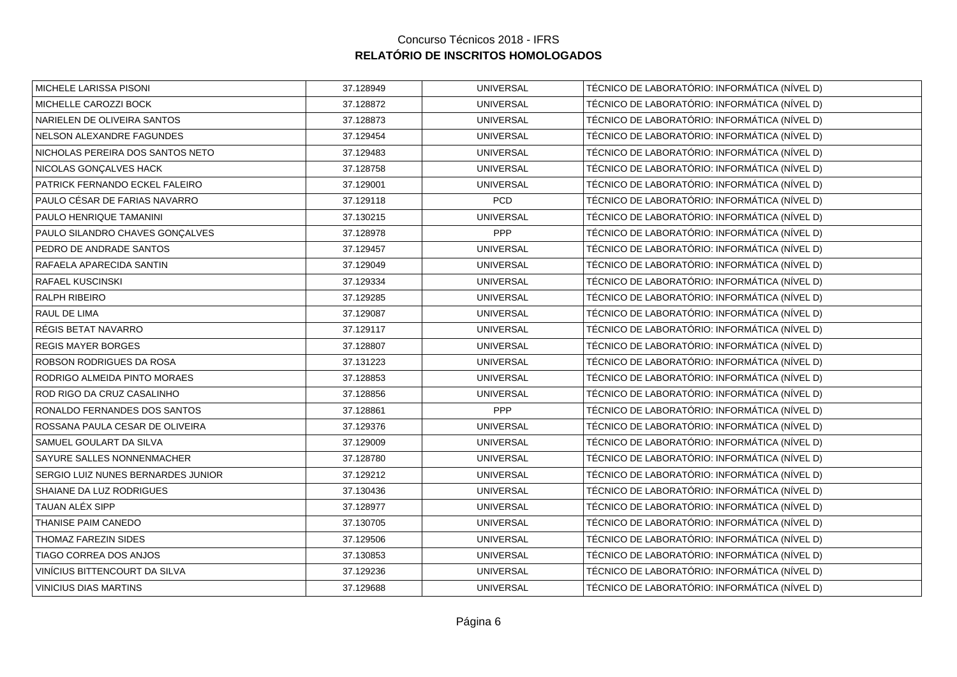| MICHELE LARISSA PISONI             | 37.128949 | <b>UNIVERSAL</b> | TÉCNICO DE LABORATÓRIO: INFORMÁTICA (NÍVEL D) |
|------------------------------------|-----------|------------------|-----------------------------------------------|
| MICHELLE CAROZZI BOCK              | 37.128872 | <b>UNIVERSAL</b> | TÉCNICO DE LABORATÓRIO: INFORMÁTICA (NÍVEL D) |
| NARIELEN DE OLIVEIRA SANTOS        | 37.128873 | <b>UNIVERSAL</b> | TÉCNICO DE LABORATÓRIO: INFORMÁTICA (NÍVEL D) |
| NELSON ALEXANDRE FAGUNDES          | 37.129454 | <b>UNIVERSAL</b> | TÉCNICO DE LABORATÓRIO: INFORMÁTICA (NÍVEL D) |
| NICHOLAS PEREIRA DOS SANTOS NETO   | 37.129483 | <b>UNIVERSAL</b> | TÉCNICO DE LABORATÓRIO: INFORMÁTICA (NÍVEL D) |
| NICOLAS GONÇALVES HACK             | 37.128758 | <b>UNIVERSAL</b> | TÉCNICO DE LABORATÓRIO: INFORMÁTICA (NÍVEL D) |
| PATRICK FERNANDO ECKEL FALEIRO     | 37.129001 | <b>UNIVERSAL</b> | TÉCNICO DE LABORATÓRIO: INFORMÁTICA (NÍVEL D) |
| PAULO CÉSAR DE FARIAS NAVARRO      | 37.129118 | PCD              | TÉCNICO DE LABORATÓRIO: INFORMÁTICA (NÍVEL D) |
| PAULO HENRIQUE TAMANINI            | 37.130215 | <b>UNIVERSAL</b> | TÉCNICO DE LABORATÓRIO: INFORMÁTICA (NÍVEL D) |
| PAULO SILANDRO CHAVES GONÇALVES    | 37.128978 | PPP              | TÉCNICO DE LABORATÓRIO: INFORMÁTICA (NÍVEL D) |
| PEDRO DE ANDRADE SANTOS            | 37.129457 | <b>UNIVERSAL</b> | TÉCNICO DE LABORATÓRIO: INFORMÁTICA (NÍVEL D) |
| RAFAELA APARECIDA SANTIN           | 37.129049 | <b>UNIVERSAL</b> | TÉCNICO DE LABORATÓRIO: INFORMÁTICA (NÍVEL D) |
| RAFAEL KUSCINSKI                   | 37.129334 | <b>UNIVERSAL</b> | TÉCNICO DE LABORATÓRIO: INFORMÁTICA (NÍVEL D) |
| RALPH RIBEIRO                      | 37.129285 | <b>UNIVERSAL</b> | TÉCNICO DE LABORATÓRIO: INFORMÁTICA (NÍVEL D) |
| RAUL DE LIMA                       | 37.129087 | <b>UNIVERSAL</b> | TÉCNICO DE LABORATÓRIO: INFORMÁTICA (NÍVEL D) |
| RÉGIS BETAT NAVARRO                | 37.129117 | <b>UNIVERSAL</b> | TÉCNICO DE LABORATÓRIO: INFORMÁTICA (NÍVEL D) |
| <b>REGIS MAYER BORGES</b>          | 37.128807 | <b>UNIVERSAL</b> | TÉCNICO DE LABORATÓRIO: INFORMÁTICA (NÍVEL D) |
| <b>ROBSON RODRIGUES DA ROSA</b>    | 37.131223 | <b>UNIVERSAL</b> | TÉCNICO DE LABORATÓRIO: INFORMÁTICA (NÍVEL D) |
| RODRIGO ALMEIDA PINTO MORAES       | 37.128853 | <b>UNIVERSAL</b> | TÉCNICO DE LABORATÓRIO: INFORMÁTICA (NÍVEL D) |
| ROD RIGO DA CRUZ CASALINHO         | 37.128856 | <b>UNIVERSAL</b> | TÉCNICO DE LABORATÓRIO: INFORMÁTICA (NÍVEL D) |
| RONALDO FERNANDES DOS SANTOS       | 37.128861 | PPP              | TÉCNICO DE LABORATÓRIO: INFORMÁTICA (NÍVEL D) |
| ROSSANA PAULA CESAR DE OLIVEIRA    | 37.129376 | <b>UNIVERSAL</b> | TÉCNICO DE LABORATÓRIO: INFORMÁTICA (NÍVEL D) |
| SAMUEL GOULART DA SILVA            | 37.129009 | <b>UNIVERSAL</b> | TÉCNICO DE LABORATÓRIO: INFORMÁTICA (NÍVEL D) |
| SAYURE SALLES NONNENMACHER         | 37.128780 | <b>UNIVERSAL</b> | TÉCNICO DE LABORATÓRIO: INFORMÁTICA (NÍVEL D) |
| SERGIO LUIZ NUNES BERNARDES JUNIOR | 37.129212 | <b>UNIVERSAL</b> | TÉCNICO DE LABORATÓRIO: INFORMÁTICA (NÍVEL D) |
| SHAIANE DA LUZ RODRIGUES           | 37.130436 | <b>UNIVERSAL</b> | TÉCNICO DE LABORATÓRIO: INFORMÁTICA (NÍVEL D) |
| <b>TAUAN ALÉX SIPP</b>             | 37.128977 | <b>UNIVERSAL</b> | TÉCNICO DE LABORATÓRIO: INFORMÁTICA (NÍVEL D) |
| THANISE PAIM CANEDO                | 37.130705 | <b>UNIVERSAL</b> | TÉCNICO DE LABORATÓRIO: INFORMÁTICA (NÍVEL D) |
| THOMAZ FAREZIN SIDES               | 37.129506 | <b>UNIVERSAL</b> | TÉCNICO DE LABORATÓRIO: INFORMÁTICA (NÍVEL D) |
| TIAGO CORREA DOS ANJOS             | 37.130853 | <b>UNIVERSAL</b> | TÉCNICO DE LABORATÓRIO: INFORMÁTICA (NÍVEL D) |
| VINÍCIUS BITTENCOURT DA SILVA      | 37.129236 | <b>UNIVERSAL</b> | TÉCNICO DE LABORATÓRIO: INFORMÁTICA (NÍVEL D) |
| <b>VINICIUS DIAS MARTINS</b>       | 37.129688 | <b>UNIVERSAL</b> | TÉCNICO DE LABORATÓRIO: INFORMÁTICA (NÍVEL D) |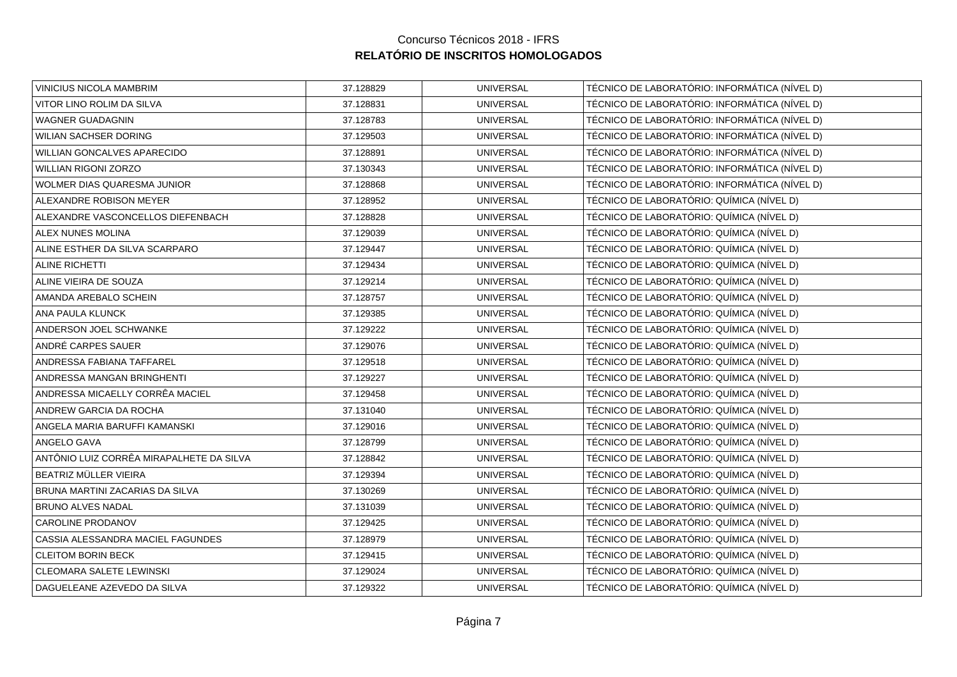| VINICIUS NICOLA MAMBRIM                  | 37.128829 | <b>UNIVERSAL</b> | TÉCNICO DE LABORATÓRIO: INFORMÁTICA (NÍVEL D) |
|------------------------------------------|-----------|------------------|-----------------------------------------------|
| VITOR LINO ROLIM DA SILVA                | 37.128831 | <b>UNIVERSAL</b> | TÉCNICO DE LABORATÓRIO: INFORMÁTICA (NÍVEL D) |
| WAGNER GUADAGNIN                         | 37.128783 | <b>UNIVERSAL</b> | TÉCNICO DE LABORATÓRIO: INFORMÁTICA (NÍVEL D) |
| WILIAN SACHSER DORING                    | 37.129503 | <b>UNIVERSAL</b> | TÉCNICO DE LABORATÓRIO: INFORMÁTICA (NÍVEL D) |
| <b>WILLIAN GONCALVES APARECIDO</b>       | 37.128891 | <b>UNIVERSAL</b> | TÉCNICO DE LABORATÓRIO: INFORMÁTICA (NÍVEL D) |
| WILLIAN RIGONI ZORZO                     | 37.130343 | <b>UNIVERSAL</b> | TÉCNICO DE LABORATÓRIO: INFORMÁTICA (NÍVEL D) |
| WOLMER DIAS QUARESMA JUNIOR              | 37.128868 | <b>UNIVERSAL</b> | TÉCNICO DE LABORATÓRIO: INFORMÁTICA (NÍVEL D) |
| ALEXANDRE ROBISON MEYER                  | 37.128952 | <b>UNIVERSAL</b> | TÉCNICO DE LABORATÓRIO: QUÍMICA (NÍVEL D)     |
| ALEXANDRE VASCONCELLOS DIEFENBACH        | 37.128828 | <b>UNIVERSAL</b> | TÉCNICO DE LABORATÓRIO: QUÍMICA (NÍVEL D)     |
| ALEX NUNES MOLINA                        | 37.129039 | <b>UNIVERSAL</b> | TÉCNICO DE LABORATÓRIO: QUÍMICA (NÍVEL D)     |
| ALINE ESTHER DA SILVA SCARPARO           | 37.129447 | <b>UNIVERSAL</b> | TÉCNICO DE LABORATÓRIO: QUÍMICA (NÍVEL D)     |
| ALINE RICHETTI                           | 37.129434 | <b>UNIVERSAL</b> | TÉCNICO DE LABORATÓRIO: QUÍMICA (NÍVEL D)     |
| ALINE VIEIRA DE SOUZA                    | 37.129214 | <b>UNIVERSAL</b> | TÉCNICO DE LABORATÓRIO: QUÍMICA (NÍVEL D)     |
| AMANDA AREBALO SCHEIN                    | 37.128757 | <b>UNIVERSAL</b> | TÉCNICO DE LABORATÓRIO: QUÍMICA (NÍVEL D)     |
| ANA PAULA KLUNCK                         | 37.129385 | <b>UNIVERSAL</b> | TÉCNICO DE LABORATÓRIO: QUÍMICA (NÍVEL D)     |
| ANDERSON JOEL SCHWANKE                   | 37.129222 | <b>UNIVERSAL</b> | TÉCNICO DE LABORATÓRIO: QUÍMICA (NÍVEL D)     |
| ANDRÉ CARPES SAUER                       | 37.129076 | <b>UNIVERSAL</b> | TÉCNICO DE LABORATÓRIO: QUÍMICA (NÍVEL D)     |
| ANDRESSA FABIANA TAFFAREL                | 37.129518 | <b>UNIVERSAL</b> | TÉCNICO DE LABORATÓRIO: QUÍMICA (NÍVEL D)     |
| ANDRESSA MANGAN BRINGHENTI               | 37.129227 | <b>UNIVERSAL</b> | TÉCNICO DE LABORATÓRIO: QUÍMICA (NÍVEL D)     |
| ANDRESSA MICAELLY CORRÊA MACIEL          | 37.129458 | <b>UNIVERSAL</b> | TÉCNICO DE LABORATÓRIO: QUÍMICA (NÍVEL D)     |
| ANDREW GARCIA DA ROCHA                   | 37.131040 | <b>UNIVERSAL</b> | TÉCNICO DE LABORATÓRIO: QUÍMICA (NÍVEL D)     |
| ANGELA MARIA BARUFFI KAMANSKI            | 37.129016 | <b>UNIVERSAL</b> | TÉCNICO DE LABORATÓRIO: QUÍMICA (NÍVEL D)     |
| ANGELO GAVA                              | 37.128799 | <b>UNIVERSAL</b> | TÉCNICO DE LABORATÓRIO: QUÍMICA (NÍVEL D)     |
| ANTÔNIO LUIZ CORRÊA MIRAPALHETE DA SILVA | 37.128842 | <b>UNIVERSAL</b> | TÉCNICO DE LABORATÓRIO: QUÍMICA (NÍVEL D)     |
| BEATRIZ MÜLLER VIEIRA                    | 37.129394 | <b>UNIVERSAL</b> | TÉCNICO DE LABORATÓRIO: QUÍMICA (NÍVEL D)     |
| BRUNA MARTINI ZACARIAS DA SILVA          | 37.130269 | <b>UNIVERSAL</b> | TÉCNICO DE LABORATÓRIO: QUÍMICA (NÍVEL D)     |
| <b>BRUNO ALVES NADAL</b>                 | 37.131039 | <b>UNIVERSAL</b> | TÉCNICO DE LABORATÓRIO: QUÍMICA (NÍVEL D)     |
| <b>CAROLINE PRODANOV</b>                 | 37.129425 | <b>UNIVERSAL</b> | TÉCNICO DE LABORATÓRIO: QUÍMICA (NÍVEL D)     |
| CASSIA ALESSANDRA MACIEL FAGUNDES        | 37.128979 | <b>UNIVERSAL</b> | TÉCNICO DE LABORATÓRIO: QUÍMICA (NÍVEL D)     |
| <b>CLEITOM BORIN BECK</b>                | 37.129415 | <b>UNIVERSAL</b> | TÉCNICO DE LABORATÓRIO: QUÍMICA (NÍVEL D)     |
| CLEOMARA SALETE LEWINSKI                 | 37.129024 | <b>UNIVERSAL</b> | TÉCNICO DE LABORATÓRIO: QUÍMICA (NÍVEL D)     |
| DAGUELEANE AZEVEDO DA SILVA              | 37.129322 | <b>UNIVERSAL</b> | TÉCNICO DE LABORATÓRIO: QUÍMICA (NÍVEL D)     |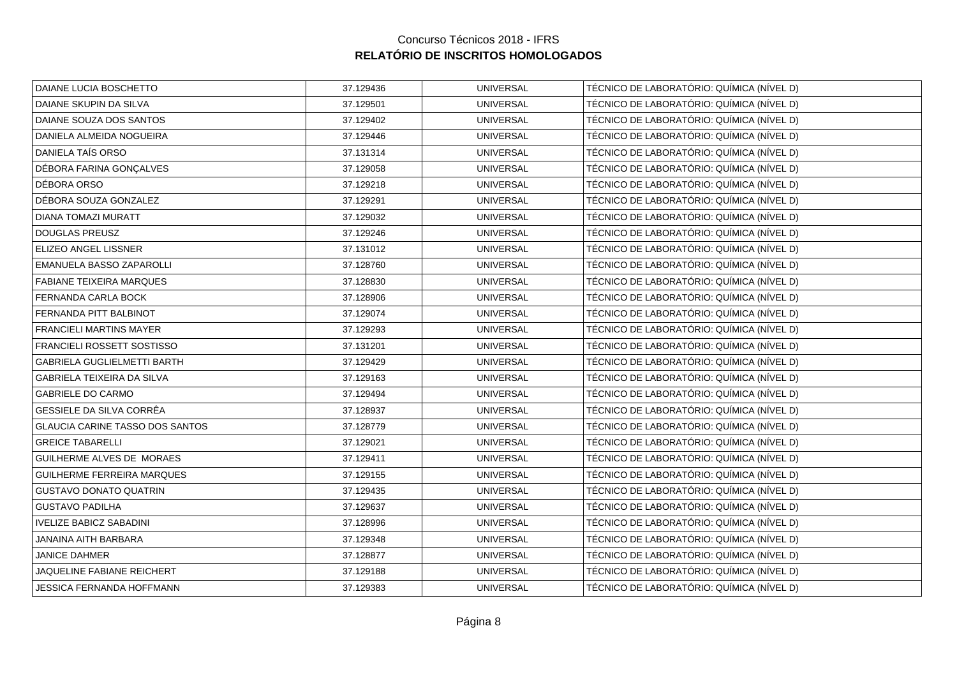|           |                  | TÉCNICO DE LABORATÓRIO: QUÍMICA (NÍVEL D) |
|-----------|------------------|-------------------------------------------|
| 37.129501 | <b>UNIVERSAL</b> | TÉCNICO DE LABORATÓRIO: QUÍMICA (NÍVEL D) |
| 37.129402 | <b>UNIVERSAL</b> | TÉCNICO DE LABORATÓRIO: QUÍMICA (NÍVEL D) |
| 37.129446 | <b>UNIVERSAL</b> | TÉCNICO DE LABORATÓRIO: QUÍMICA (NÍVEL D) |
| 37.131314 | <b>UNIVERSAL</b> | TÉCNICO DE LABORATÓRIO: QUÍMICA (NÍVEL D) |
| 37.129058 | <b>UNIVERSAL</b> | TÉCNICO DE LABORATÓRIO: QUÍMICA (NÍVEL D) |
| 37.129218 | <b>UNIVERSAL</b> | TÉCNICO DE LABORATÓRIO: QUÍMICA (NÍVEL D) |
| 37.129291 | <b>UNIVERSAL</b> | TÉCNICO DE LABORATÓRIO: QUÍMICA (NÍVEL D) |
| 37.129032 | <b>UNIVERSAL</b> | TÉCNICO DE LABORATÓRIO: QUÍMICA (NÍVEL D) |
| 37.129246 | <b>UNIVERSAL</b> | TÉCNICO DE LABORATÓRIO: QUÍMICA (NÍVEL D) |
| 37.131012 | <b>UNIVERSAL</b> | TÉCNICO DE LABORATÓRIO: QUÍMICA (NÍVEL D) |
| 37.128760 | <b>UNIVERSAL</b> | TÉCNICO DE LABORATÓRIO: QUÍMICA (NÍVEL D) |
| 37.128830 | <b>UNIVERSAL</b> | TÉCNICO DE LABORATÓRIO: QUÍMICA (NÍVEL D) |
| 37.128906 | <b>UNIVERSAL</b> | TÉCNICO DE LABORATÓRIO: QUÍMICA (NÍVEL D) |
| 37.129074 | <b>UNIVERSAL</b> | TÉCNICO DE LABORATÓRIO: QUÍMICA (NÍVEL D) |
| 37.129293 | <b>UNIVERSAL</b> | TÉCNICO DE LABORATÓRIO: QUÍMICA (NÍVEL D) |
| 37.131201 | <b>UNIVERSAL</b> | TÉCNICO DE LABORATÓRIO: QUÍMICA (NÍVEL D) |
| 37.129429 | <b>UNIVERSAL</b> | TÉCNICO DE LABORATÓRIO: QUÍMICA (NÍVEL D) |
| 37.129163 | <b>UNIVERSAL</b> | TÉCNICO DE LABORATÓRIO: QUÍMICA (NÍVEL D) |
| 37.129494 | <b>UNIVERSAL</b> | TÉCNICO DE LABORATÓRIO: QUÍMICA (NÍVEL D) |
| 37.128937 | <b>UNIVERSAL</b> | TÉCNICO DE LABORATÓRIO: QUÍMICA (NÍVEL D) |
| 37.128779 | <b>UNIVERSAL</b> | TÉCNICO DE LABORATÓRIO: QUÍMICA (NÍVEL D) |
| 37.129021 | <b>UNIVERSAL</b> | TÉCNICO DE LABORATÓRIO: QUÍMICA (NÍVEL D) |
| 37.129411 | <b>UNIVERSAL</b> | TÉCNICO DE LABORATÓRIO: QUÍMICA (NÍVEL D) |
| 37.129155 | <b>UNIVERSAL</b> | TÉCNICO DE LABORATÓRIO: QUÍMICA (NÍVEL D) |
| 37.129435 | <b>UNIVERSAL</b> | TÉCNICO DE LABORATÓRIO: QUÍMICA (NÍVEL D) |
| 37.129637 | <b>UNIVERSAL</b> | TÉCNICO DE LABORATÓRIO: QUÍMICA (NÍVEL D) |
| 37.128996 | <b>UNIVERSAL</b> | TÉCNICO DE LABORATÓRIO: QUÍMICA (NÍVEL D) |
| 37.129348 | <b>UNIVERSAL</b> | TÉCNICO DE LABORATÓRIO: QUÍMICA (NÍVEL D) |
| 37.128877 | <b>UNIVERSAL</b> | TÉCNICO DE LABORATÓRIO: QUÍMICA (NÍVEL D) |
| 37.129188 | <b>UNIVERSAL</b> | TÉCNICO DE LABORATÓRIO: QUÍMICA (NÍVEL D) |
| 37.129383 | <b>UNIVERSAL</b> | TÉCNICO DE LABORATÓRIO: QUÍMICA (NÍVEL D) |
|           | 37.129436        | <b>UNIVERSAL</b>                          |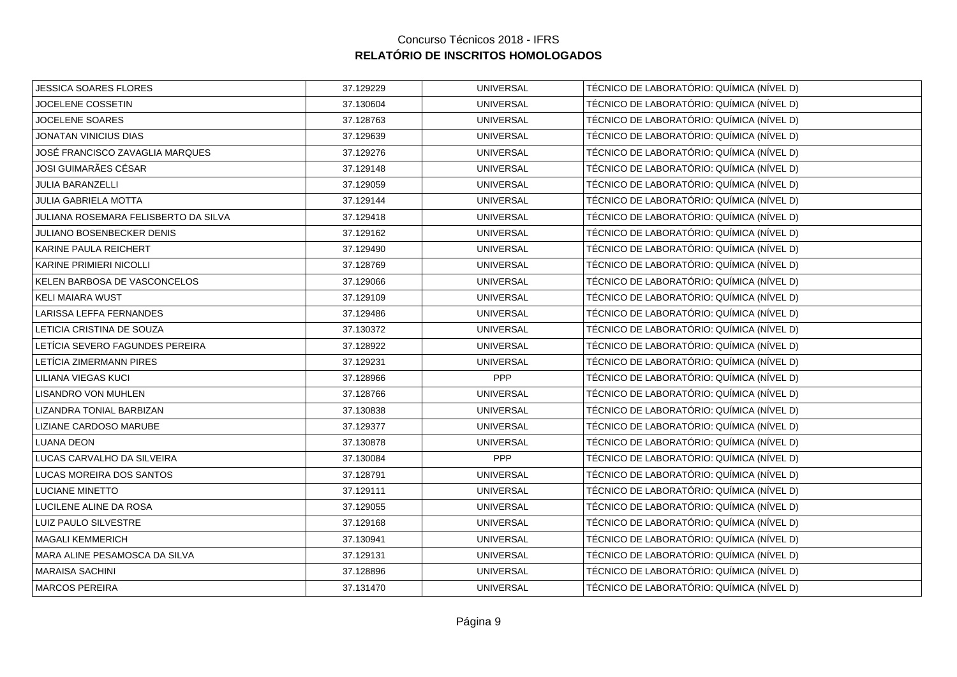| <b>JESSICA SOARES FLORES</b>         | 37.129229 | <b>UNIVERSAL</b> | TÉCNICO DE LABORATÓRIO: QUÍMICA (NÍVEL D) |
|--------------------------------------|-----------|------------------|-------------------------------------------|
| <b>JOCELENE COSSETIN</b>             | 37.130604 | <b>UNIVERSAL</b> | TÉCNICO DE LABORATÓRIO: QUÍMICA (NÍVEL D) |
| <b>JOCELENE SOARES</b>               | 37.128763 | <b>UNIVERSAL</b> | TÉCNICO DE LABORATÓRIO: QUÍMICA (NÍVEL D) |
| JONATAN VINICIUS DIAS                | 37.129639 | <b>UNIVERSAL</b> | TÉCNICO DE LABORATÓRIO: QUÍMICA (NÍVEL D) |
| JOSÉ FRANCISCO ZAVAGLIA MARQUES      | 37.129276 | <b>UNIVERSAL</b> | TÉCNICO DE LABORATÓRIO: QUÍMICA (NÍVEL D) |
| JOSI GUIMARÃES CÉSAR                 | 37.129148 | <b>UNIVERSAL</b> | TÉCNICO DE LABORATÓRIO: QUÍMICA (NÍVEL D) |
| <b>JULIA BARANZELLI</b>              | 37.129059 | <b>UNIVERSAL</b> | TÉCNICO DE LABORATÓRIO: QUÍMICA (NÍVEL D) |
| JULIA GABRIELA MOTTA                 | 37.129144 | <b>UNIVERSAL</b> | TÉCNICO DE LABORATÓRIO: QUÍMICA (NÍVEL D) |
| JULIANA ROSEMARA FELISBERTO DA SILVA | 37.129418 | <b>UNIVERSAL</b> | TÉCNICO DE LABORATÓRIO: QUÍMICA (NÍVEL D) |
| JULIANO BOSENBECKER DENIS            | 37.129162 | <b>UNIVERSAL</b> | TÉCNICO DE LABORATÓRIO: QUÍMICA (NÍVEL D) |
| KARINE PAULA REICHERT                | 37.129490 | <b>UNIVERSAL</b> | TÉCNICO DE LABORATÓRIO: QUÍMICA (NÍVEL D) |
| KARINE PRIMIERI NICOLLI              | 37.128769 | <b>UNIVERSAL</b> | TÉCNICO DE LABORATÓRIO: QUÍMICA (NÍVEL D) |
| KELEN BARBOSA DE VASCONCELOS         | 37.129066 | <b>UNIVERSAL</b> | TÉCNICO DE LABORATÓRIO: QUÍMICA (NÍVEL D) |
| <b>KELI MAIARA WUST</b>              | 37.129109 | <b>UNIVERSAL</b> | TÉCNICO DE LABORATÓRIO: QUÍMICA (NÍVEL D) |
| LARISSA LEFFA FERNANDES              | 37.129486 | <b>UNIVERSAL</b> | TÉCNICO DE LABORATÓRIO: QUÍMICA (NÍVEL D) |
| LETICIA CRISTINA DE SOUZA            | 37.130372 | <b>UNIVERSAL</b> | TÉCNICO DE LABORATÓRIO: QUÍMICA (NÍVEL D) |
| LETÍCIA SEVERO FAGUNDES PEREIRA      | 37.128922 | <b>UNIVERSAL</b> | TÉCNICO DE LABORATÓRIO: QUÍMICA (NÍVEL D) |
| LETÍCIA ZIMERMANN PIRES              | 37.129231 | <b>UNIVERSAL</b> | TÉCNICO DE LABORATÓRIO: QUÍMICA (NÍVEL D) |
| LILIANA VIEGAS KUCI                  | 37.128966 | <b>PPP</b>       | TÉCNICO DE LABORATÓRIO: QUÍMICA (NÍVEL D) |
| <b>LISANDRO VON MUHLEN</b>           | 37.128766 | <b>UNIVERSAL</b> | TÉCNICO DE LABORATÓRIO: QUÍMICA (NÍVEL D) |
| LIZANDRA TONIAL BARBIZAN             | 37.130838 | <b>UNIVERSAL</b> | TÉCNICO DE LABORATÓRIO: QUÍMICA (NÍVEL D) |
| LIZIANE CARDOSO MARUBE               | 37.129377 | <b>UNIVERSAL</b> | TÉCNICO DE LABORATÓRIO: QUÍMICA (NÍVEL D) |
| <b>LUANA DEON</b>                    | 37.130878 | <b>UNIVERSAL</b> | TÉCNICO DE LABORATÓRIO: QUÍMICA (NÍVEL D) |
| LUCAS CARVALHO DA SILVEIRA           | 37.130084 | PPP              | TÉCNICO DE LABORATÓRIO: QUÍMICA (NÍVEL D) |
| LUCAS MOREIRA DOS SANTOS             | 37.128791 | <b>UNIVERSAL</b> | TÉCNICO DE LABORATÓRIO: QUÍMICA (NÍVEL D) |
| <b>LUCIANE MINETTO</b>               | 37.129111 | <b>UNIVERSAL</b> | TÉCNICO DE LABORATÓRIO: QUÍMICA (NÍVEL D) |
| LUCILENE ALINE DA ROSA               | 37.129055 | <b>UNIVERSAL</b> | TÉCNICO DE LABORATÓRIO: QUÍMICA (NÍVEL D) |
| LUIZ PAULO SILVESTRE                 | 37.129168 | <b>UNIVERSAL</b> | TÉCNICO DE LABORATÓRIO: QUÍMICA (NÍVEL D) |
| <b>MAGALI KEMMERICH</b>              | 37.130941 | <b>UNIVERSAL</b> | TÉCNICO DE LABORATÓRIO: QUÍMICA (NÍVEL D) |
| MARA ALINE PESAMOSCA DA SILVA        | 37.129131 | <b>UNIVERSAL</b> | TÉCNICO DE LABORATÓRIO: QUÍMICA (NÍVEL D) |
| <b>MARAISA SACHINI</b>               | 37.128896 | <b>UNIVERSAL</b> | TÉCNICO DE LABORATÓRIO: QUÍMICA (NÍVEL D) |
| <b>MARCOS PEREIRA</b>                | 37.131470 | <b>UNIVERSAL</b> | TÉCNICO DE LABORATÓRIO: QUÍMICA (NÍVEL D) |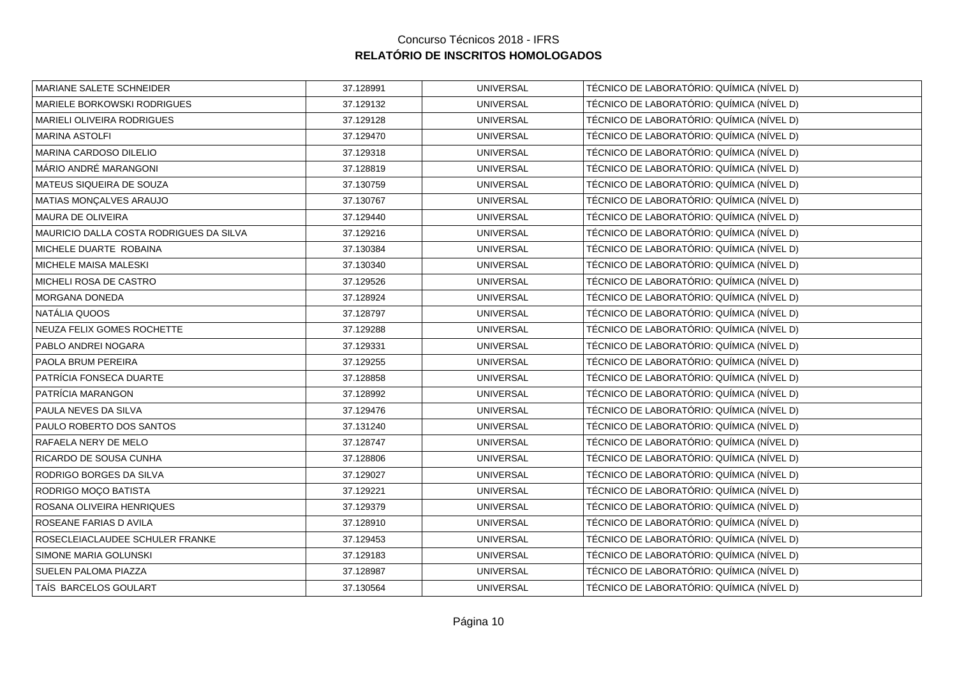| MARIANE SALETE SCHNEIDER                | 37.128991 | <b>UNIVERSAL</b> | TÉCNICO DE LABORATÓRIO: QUÍMICA (NÍVEL D) |
|-----------------------------------------|-----------|------------------|-------------------------------------------|
| MARIELE BORKOWSKI RODRIGUES             | 37.129132 | <b>UNIVERSAL</b> | TÉCNICO DE LABORATÓRIO: QUÍMICA (NÍVEL D) |
| <b>MARIELI OLIVEIRA RODRIGUES</b>       | 37.129128 | <b>UNIVERSAL</b> | TÉCNICO DE LABORATÓRIO: QUÍMICA (NÍVEL D) |
| <b>MARINA ASTOLFI</b>                   | 37.129470 | <b>UNIVERSAL</b> | TÉCNICO DE LABORATÓRIO: QUÍMICA (NÍVEL D) |
| MARINA CARDOSO DILELIO                  | 37.129318 | <b>UNIVERSAL</b> | TÉCNICO DE LABORATÓRIO: QUÍMICA (NÍVEL D) |
| MÁRIO ANDRÉ MARANGONI                   | 37.128819 | <b>UNIVERSAL</b> | TÉCNICO DE LABORATÓRIO: QUÍMICA (NÍVEL D) |
| MATEUS SIQUEIRA DE SOUZA                | 37.130759 | <b>UNIVERSAL</b> | TÉCNICO DE LABORATÓRIO: QUÍMICA (NÍVEL D) |
| MATIAS MONÇALVES ARAUJO                 | 37.130767 | <b>UNIVERSAL</b> | TÉCNICO DE LABORATÓRIO: QUÍMICA (NÍVEL D) |
| <b>MAURA DE OLIVEIRA</b>                | 37.129440 | <b>UNIVERSAL</b> | TÉCNICO DE LABORATÓRIO: QUÍMICA (NÍVEL D) |
| MAURICIO DALLA COSTA RODRIGUES DA SILVA | 37.129216 | <b>UNIVERSAL</b> | TÉCNICO DE LABORATÓRIO: QUÍMICA (NÍVEL D) |
| MICHELE DUARTE ROBAINA                  | 37.130384 | <b>UNIVERSAL</b> | TÉCNICO DE LABORATÓRIO: QUÍMICA (NÍVEL D) |
| MICHELE MAISA MALESKI                   | 37.130340 | <b>UNIVERSAL</b> | TÉCNICO DE LABORATÓRIO: QUÍMICA (NÍVEL D) |
| MICHELI ROSA DE CASTRO                  | 37.129526 | <b>UNIVERSAL</b> | TÉCNICO DE LABORATÓRIO: QUÍMICA (NÍVEL D) |
| MORGANA DONEDA                          | 37.128924 | <b>UNIVERSAL</b> | TÉCNICO DE LABORATÓRIO: QUÍMICA (NÍVEL D) |
| NATÁLIA QUOOS                           | 37.128797 | <b>UNIVERSAL</b> | TÉCNICO DE LABORATÓRIO: QUÍMICA (NÍVEL D) |
| NEUZA FELIX GOMES ROCHETTE              | 37.129288 | <b>UNIVERSAL</b> | TÉCNICO DE LABORATÓRIO: QUÍMICA (NÍVEL D) |
| PABLO ANDREI NOGARA                     | 37.129331 | <b>UNIVERSAL</b> | TÉCNICO DE LABORATÓRIO: QUÍMICA (NÍVEL D) |
| PAOLA BRUM PEREIRA                      | 37.129255 | <b>UNIVERSAL</b> | TÉCNICO DE LABORATÓRIO: QUÍMICA (NÍVEL D) |
| PATRÍCIA FONSECA DUARTE                 | 37.128858 | <b>UNIVERSAL</b> | TÉCNICO DE LABORATÓRIO: QUÍMICA (NÍVEL D) |
| PATRÍCIA MARANGON                       | 37.128992 | <b>UNIVERSAL</b> | TÉCNICO DE LABORATÓRIO: QUÍMICA (NÍVEL D) |
| PAULA NEVES DA SILVA                    | 37.129476 | <b>UNIVERSAL</b> | TÉCNICO DE LABORATÓRIO: QUÍMICA (NÍVEL D) |
| PAULO ROBERTO DOS SANTOS                | 37.131240 | <b>UNIVERSAL</b> | TÉCNICO DE LABORATÓRIO: QUÍMICA (NÍVEL D) |
| RAFAELA NERY DE MELO                    | 37.128747 | <b>UNIVERSAL</b> | TÉCNICO DE LABORATÓRIO: QUÍMICA (NÍVEL D) |
| RICARDO DE SOUSA CUNHA                  | 37.128806 | <b>UNIVERSAL</b> | TÉCNICO DE LABORATÓRIO: QUÍMICA (NÍVEL D) |
| RODRIGO BORGES DA SILVA                 | 37.129027 | <b>UNIVERSAL</b> | TÉCNICO DE LABORATÓRIO: QUÍMICA (NÍVEL D) |
| RODRIGO MOÇO BATISTA                    | 37.129221 | <b>UNIVERSAL</b> | TÉCNICO DE LABORATÓRIO: QUÍMICA (NÍVEL D) |
| ROSANA OLIVEIRA HENRIQUES               | 37.129379 | <b>UNIVERSAL</b> | TÉCNICO DE LABORATÓRIO: QUÍMICA (NÍVEL D) |
| ROSEANE FARIAS D AVILA                  | 37.128910 | <b>UNIVERSAL</b> | TÉCNICO DE LABORATÓRIO: QUÍMICA (NÍVEL D) |
| ROSECLEIACLAUDEE SCHULER FRANKE         | 37.129453 | <b>UNIVERSAL</b> | TÉCNICO DE LABORATÓRIO: QUÍMICA (NÍVEL D) |
| SIMONE MARIA GOLUNSKI                   | 37.129183 | <b>UNIVERSAL</b> | TÉCNICO DE LABORATÓRIO: QUÍMICA (NÍVEL D) |
| SUELEN PALOMA PIAZZA                    | 37.128987 | <b>UNIVERSAL</b> | TÉCNICO DE LABORATÓRIO: QUÍMICA (NÍVEL D) |
| TAÍS BARCELOS GOULART                   | 37.130564 | <b>UNIVERSAL</b> | TÉCNICO DE LABORATÓRIO: QUÍMICA (NÍVEL D) |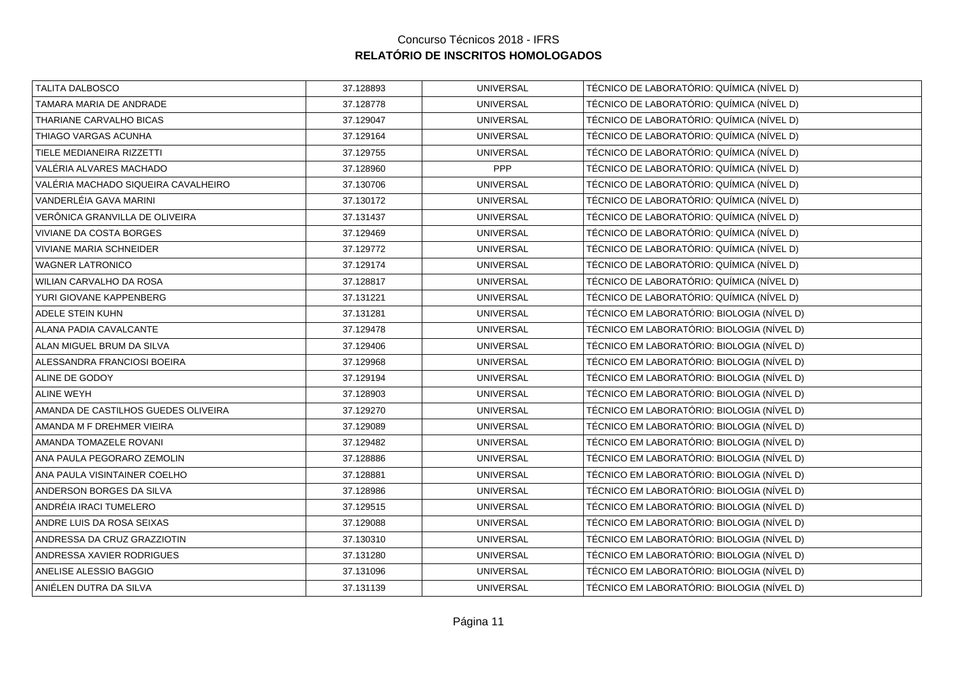| 37.128893 | <b>UNIVERSAL</b> | TÉCNICO DE LABORATÓRIO: QUÍMICA (NÍVEL D)  |
|-----------|------------------|--------------------------------------------|
| 37.128778 | <b>UNIVERSAL</b> | TÉCNICO DE LABORATÓRIO: QUÍMICA (NÍVEL D)  |
| 37.129047 | <b>UNIVERSAL</b> | TÉCNICO DE LABORATÓRIO: QUÍMICA (NÍVEL D)  |
| 37.129164 | <b>UNIVERSAL</b> | TÉCNICO DE LABORATÓRIO: QUÍMICA (NÍVEL D)  |
| 37.129755 | <b>UNIVERSAL</b> | TÉCNICO DE LABORATÓRIO: QUÍMICA (NÍVEL D)  |
| 37.128960 | PPP              | TÉCNICO DE LABORATÓRIO: QUÍMICA (NÍVEL D)  |
| 37.130706 | <b>UNIVERSAL</b> | TÉCNICO DE LABORATÓRIO: QUÍMICA (NÍVEL D)  |
| 37.130172 | <b>UNIVERSAL</b> | TÉCNICO DE LABORATÓRIO: QUÍMICA (NÍVEL D)  |
| 37.131437 | <b>UNIVERSAL</b> | TÉCNICO DE LABORATÓRIO: QUÍMICA (NÍVEL D)  |
| 37.129469 | <b>UNIVERSAL</b> | TÉCNICO DE LABORATÓRIO: QUÍMICA (NÍVEL D)  |
| 37.129772 | <b>UNIVERSAL</b> | TÉCNICO DE LABORATÓRIO: QUÍMICA (NÍVEL D)  |
| 37.129174 | <b>UNIVERSAL</b> | TÉCNICO DE LABORATÓRIO: QUÍMICA (NÍVEL D)  |
| 37.128817 | <b>UNIVERSAL</b> | TÉCNICO DE LABORATÓRIO: QUÍMICA (NÍVEL D)  |
| 37.131221 | <b>UNIVERSAL</b> | TÉCNICO DE LABORATÓRIO: QUÍMICA (NÍVEL D)  |
| 37.131281 | <b>UNIVERSAL</b> | TÉCNICO EM LABORATÓRIO: BIOLOGIA (NÍVEL D) |
| 37.129478 | <b>UNIVERSAL</b> | TÉCNICO EM LABORATÓRIO: BIOLOGIA (NÍVEL D) |
| 37.129406 | <b>UNIVERSAL</b> | TÉCNICO EM LABORATÓRIO: BIOLOGIA (NÍVEL D) |
| 37.129968 | <b>UNIVERSAL</b> | TÉCNICO EM LABORATÓRIO: BIOLOGIA (NÍVEL D) |
| 37.129194 | <b>UNIVERSAL</b> | TÉCNICO EM LABORATÓRIO: BIOLOGIA (NÍVEL D) |
| 37.128903 | <b>UNIVERSAL</b> | TÉCNICO EM LABORATÓRIO: BIOLOGIA (NÍVEL D) |
| 37.129270 | <b>UNIVERSAL</b> | TÉCNICO EM LABORATÓRIO: BIOLOGIA (NÍVEL D) |
| 37.129089 | <b>UNIVERSAL</b> | TÉCNICO EM LABORATÓRIO: BIOLOGIA (NÍVEL D) |
| 37.129482 | <b>UNIVERSAL</b> | TÉCNICO EM LABORATÓRIO: BIOLOGIA (NÍVEL D) |
| 37.128886 | <b>UNIVERSAL</b> | TÉCNICO EM LABORATÓRIO: BIOLOGIA (NÍVEL D) |
| 37.128881 | <b>UNIVERSAL</b> | TÉCNICO EM LABORATÓRIO: BIOLOGIA (NÍVEL D) |
| 37.128986 | <b>UNIVERSAL</b> | TÉCNICO EM LABORATÓRIO: BIOLOGIA (NÍVEL D) |
| 37.129515 | <b>UNIVERSAL</b> | TÉCNICO EM LABORATÓRIO: BIOLOGIA (NÍVEL D) |
| 37.129088 | <b>UNIVERSAL</b> | TÉCNICO EM LABORATÓRIO: BIOLOGIA (NÍVEL D) |
| 37.130310 | <b>UNIVERSAL</b> | TÉCNICO EM LABORATÓRIO: BIOLOGIA (NÍVEL D) |
| 37.131280 | <b>UNIVERSAL</b> | TÉCNICO EM LABORATÓRIO: BIOLOGIA (NÍVEL D) |
| 37.131096 | <b>UNIVERSAL</b> | TÉCNICO EM LABORATÓRIO: BIOLOGIA (NÍVEL D) |
| 37.131139 | <b>UNIVERSAL</b> | TÉCNICO EM LABORATÓRIO: BIOLOGIA (NÍVEL D) |
|           |                  |                                            |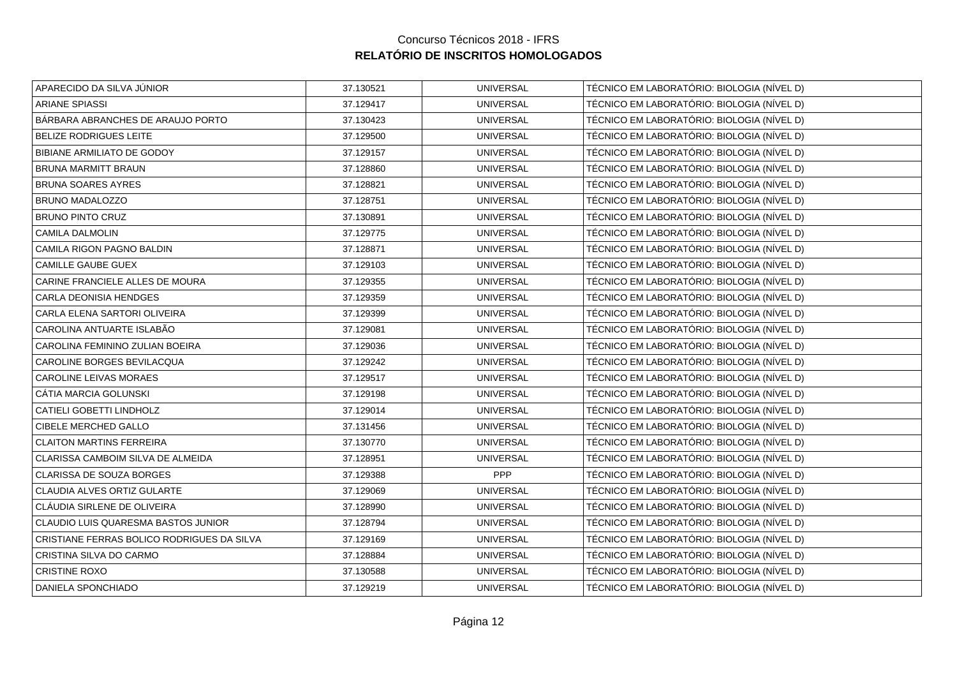| APARECIDO DA SILVA JÚNIOR                  | 37.130521 | <b>UNIVERSAL</b> | TÉCNICO EM LABORATÓRIO: BIOLOGIA (NÍVEL D) |
|--------------------------------------------|-----------|------------------|--------------------------------------------|
| <b>ARIANE SPIASSI</b>                      | 37.129417 | <b>UNIVERSAL</b> | TÉCNICO EM LABORATÓRIO: BIOLOGIA (NÍVEL D) |
| BÁRBARA ABRANCHES DE ARAUJO PORTO          | 37.130423 | <b>UNIVERSAL</b> | TÉCNICO EM LABORATÓRIO: BIOLOGIA (NÍVEL D) |
| BELIZE RODRIGUES LEITE                     | 37.129500 | <b>UNIVERSAL</b> | TÉCNICO EM LABORATÓRIO: BIOLOGIA (NÍVEL D) |
| BIBIANE ARMILIATO DE GODOY                 | 37.129157 | <b>UNIVERSAL</b> | TÉCNICO EM LABORATÓRIO: BIOLOGIA (NÍVEL D) |
| BRUNA MARMITT BRAUN                        | 37.128860 | <b>UNIVERSAL</b> | TÉCNICO EM LABORATÓRIO: BIOLOGIA (NÍVEL D) |
| <b>BRUNA SOARES AYRES</b>                  | 37.128821 | <b>UNIVERSAL</b> | TÉCNICO EM LABORATÓRIO: BIOLOGIA (NÍVEL D) |
| <b>BRUNO MADALOZZO</b>                     | 37.128751 | <b>UNIVERSAL</b> | TÉCNICO EM LABORATÓRIO: BIOLOGIA (NÍVEL D) |
| <b>BRUNO PINTO CRUZ</b>                    | 37.130891 | <b>UNIVERSAL</b> | TÉCNICO EM LABORATÓRIO: BIOLOGIA (NÍVEL D) |
| <b>CAMILA DALMOLIN</b>                     | 37.129775 | <b>UNIVERSAL</b> | TÉCNICO EM LABORATÓRIO: BIOLOGIA (NÍVEL D) |
| CAMILA RIGON PAGNO BALDIN                  | 37.128871 | <b>UNIVERSAL</b> | TÉCNICO EM LABORATÓRIO: BIOLOGIA (NÍVEL D) |
| <b>CAMILLE GAUBE GUEX</b>                  | 37.129103 | <b>UNIVERSAL</b> | TÉCNICO EM LABORATÓRIO: BIOLOGIA (NÍVEL D) |
| CARINE FRANCIELE ALLES DE MOURA            | 37.129355 | <b>UNIVERSAL</b> | TÉCNICO EM LABORATÓRIO: BIOLOGIA (NÍVEL D) |
| <b>CARLA DEONISIA HENDGES</b>              | 37.129359 | <b>UNIVERSAL</b> | TÉCNICO EM LABORATÓRIO: BIOLOGIA (NÍVEL D) |
| CARLA ELENA SARTORI OLIVEIRA               | 37.129399 | <b>UNIVERSAL</b> | TÉCNICO EM LABORATÓRIO: BIOLOGIA (NÍVEL D) |
| CAROLINA ANTUARTE ISLABÃO                  | 37.129081 | <b>UNIVERSAL</b> | TÉCNICO EM LABORATÓRIO: BIOLOGIA (NÍVEL D) |
| CAROLINA FEMININO ZULIAN BOEIRA            | 37.129036 | <b>UNIVERSAL</b> | TÉCNICO EM LABORATÓRIO: BIOLOGIA (NÍVEL D) |
| CAROLINE BORGES BEVILACQUA                 | 37.129242 | <b>UNIVERSAL</b> | TÉCNICO EM LABORATÓRIO: BIOLOGIA (NÍVEL D) |
| CAROLINE LEIVAS MORAES                     | 37.129517 | <b>UNIVERSAL</b> | TÉCNICO EM LABORATÓRIO: BIOLOGIA (NÍVEL D) |
| CÁTIA MARCIA GOLUNSKI                      | 37.129198 | <b>UNIVERSAL</b> | TÉCNICO EM LABORATÓRIO: BIOLOGIA (NÍVEL D) |
| CATIELI GOBETTI LINDHOLZ                   | 37.129014 | <b>UNIVERSAL</b> | TÉCNICO EM LABORATÓRIO: BIOLOGIA (NÍVEL D) |
| CIBELE MERCHED GALLO                       | 37.131456 | <b>UNIVERSAL</b> | TÉCNICO EM LABORATÓRIO: BIOLOGIA (NÍVEL D) |
| <b>CLAITON MARTINS FERREIRA</b>            | 37.130770 | <b>UNIVERSAL</b> | TÉCNICO EM LABORATÓRIO: BIOLOGIA (NÍVEL D) |
| CLARISSA CAMBOIM SILVA DE ALMEIDA          | 37.128951 | <b>UNIVERSAL</b> | TÉCNICO EM LABORATÓRIO: BIOLOGIA (NÍVEL D) |
| CLARISSA DE SOUZA BORGES                   | 37.129388 | PPP              | TÉCNICO EM LABORATÓRIO: BIOLOGIA (NÍVEL D) |
| CLAUDIA ALVES ORTIZ GULARTE                | 37.129069 | <b>UNIVERSAL</b> | TÉCNICO EM LABORATÓRIO: BIOLOGIA (NÍVEL D) |
| CLÁUDIA SIRLENE DE OLIVEIRA                | 37.128990 | <b>UNIVERSAL</b> | TÉCNICO EM LABORATÓRIO: BIOLOGIA (NÍVEL D) |
| CLAUDIO LUIS QUARESMA BASTOS JUNIOR        | 37.128794 | <b>UNIVERSAL</b> | TÉCNICO EM LABORATÓRIO: BIOLOGIA (NÍVEL D) |
| CRISTIANE FERRAS BOLICO RODRIGUES DA SILVA | 37.129169 | <b>UNIVERSAL</b> | TÉCNICO EM LABORATÓRIO: BIOLOGIA (NÍVEL D) |
| CRISTINA SILVA DO CARMO                    | 37.128884 | <b>UNIVERSAL</b> | TÉCNICO EM LABORATÓRIO: BIOLOGIA (NÍVEL D) |
| <b>CRISTINE ROXO</b>                       | 37.130588 | <b>UNIVERSAL</b> | TÉCNICO EM LABORATÓRIO: BIOLOGIA (NÍVEL D) |
| DANIELA SPONCHIADO                         | 37.129219 | <b>UNIVERSAL</b> | TÉCNICO EM LABORATÓRIO: BIOLOGIA (NÍVEL D) |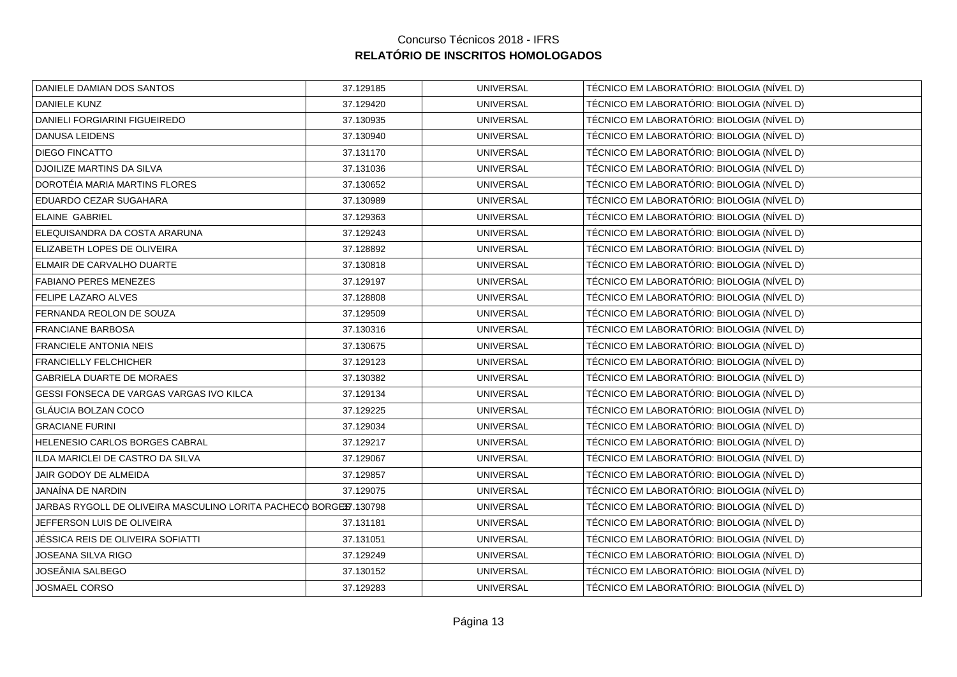| DANIELE DAMIAN DOS SANTOS                                        | 37.129185 | <b>UNIVERSAL</b> | TÉCNICO EM LABORATÓRIO: BIOLOGIA (NÍVEL D) |
|------------------------------------------------------------------|-----------|------------------|--------------------------------------------|
| <b>DANIELE KUNZ</b>                                              | 37.129420 | <b>UNIVERSAL</b> | TÉCNICO EM LABORATÓRIO: BIOLOGIA (NÍVEL D) |
| DANIELI FORGIARINI FIGUEIREDO                                    | 37.130935 | <b>UNIVERSAL</b> | TÉCNICO EM LABORATÓRIO: BIOLOGIA (NÍVEL D) |
| DANUSA LEIDENS                                                   | 37.130940 | <b>UNIVERSAL</b> | TÉCNICO EM LABORATÓRIO: BIOLOGIA (NÍVEL D) |
| <b>DIEGO FINCATTO</b>                                            | 37.131170 | <b>UNIVERSAL</b> | TÉCNICO EM LABORATÓRIO: BIOLOGIA (NÍVEL D) |
| <b>DJOILIZE MARTINS DA SILVA</b>                                 | 37.131036 | <b>UNIVERSAL</b> | TÉCNICO EM LABORATÓRIO: BIOLOGIA (NÍVEL D) |
| DOROTÉIA MARIA MARTINS FLORES                                    | 37.130652 | <b>UNIVERSAL</b> | TÉCNICO EM LABORATÓRIO: BIOLOGIA (NÍVEL D) |
| EDUARDO CEZAR SUGAHARA                                           | 37.130989 | <b>UNIVERSAL</b> | TÉCNICO EM LABORATÓRIO: BIOLOGIA (NÍVEL D) |
| <b>ELAINE GABRIEL</b>                                            | 37.129363 | <b>UNIVERSAL</b> | TÉCNICO EM LABORATÓRIO: BIOLOGIA (NÍVEL D) |
| ELEQUISANDRA DA COSTA ARARUNA                                    | 37.129243 | <b>UNIVERSAL</b> | TÉCNICO EM LABORATÓRIO: BIOLOGIA (NÍVEL D) |
| ELIZABETH LOPES DE OLIVEIRA                                      | 37.128892 | <b>UNIVERSAL</b> | TÉCNICO EM LABORATÓRIO: BIOLOGIA (NÍVEL D) |
| ELMAIR DE CARVALHO DUARTE                                        | 37.130818 | <b>UNIVERSAL</b> | TÉCNICO EM LABORATÓRIO: BIOLOGIA (NÍVEL D) |
| <b>FABIANO PERES MENEZES</b>                                     | 37.129197 | <b>UNIVERSAL</b> | TÉCNICO EM LABORATÓRIO: BIOLOGIA (NÍVEL D) |
| FELIPE LAZARO ALVES                                              | 37.128808 | <b>UNIVERSAL</b> | TÉCNICO EM LABORATÓRIO: BIOLOGIA (NÍVEL D) |
| FERNANDA REOLON DE SOUZA                                         | 37.129509 | <b>UNIVERSAL</b> | TÉCNICO EM LABORATÓRIO: BIOLOGIA (NÍVEL D) |
| <b>FRANCIANE BARBOSA</b>                                         | 37.130316 | <b>UNIVERSAL</b> | TÉCNICO EM LABORATÓRIO: BIOLOGIA (NÍVEL D) |
| <b>FRANCIELE ANTONIA NEIS</b>                                    | 37.130675 | <b>UNIVERSAL</b> | TÉCNICO EM LABORATÓRIO: BIOLOGIA (NÍVEL D) |
| <b>FRANCIELLY FELCHICHER</b>                                     | 37.129123 | <b>UNIVERSAL</b> | TÉCNICO EM LABORATÓRIO: BIOLOGIA (NÍVEL D) |
| <b>GABRIELA DUARTE DE MORAES</b>                                 | 37.130382 | <b>UNIVERSAL</b> | TÉCNICO EM LABORATÓRIO: BIOLOGIA (NÍVEL D) |
| GESSI FONSECA DE VARGAS VARGAS IVO KILCA                         | 37.129134 | <b>UNIVERSAL</b> | TÉCNICO EM LABORATÓRIO: BIOLOGIA (NÍVEL D) |
| GLÁUCIA BOLZAN COCO                                              | 37.129225 | <b>UNIVERSAL</b> | TÉCNICO EM LABORATÓRIO: BIOLOGIA (NÍVEL D) |
| <b>GRACIANE FURINI</b>                                           | 37.129034 | <b>UNIVERSAL</b> | TÉCNICO EM LABORATÓRIO: BIOLOGIA (NÍVEL D) |
| HELENESIO CARLOS BORGES CABRAL                                   | 37.129217 | <b>UNIVERSAL</b> | TÉCNICO EM LABORATÓRIO: BIOLOGIA (NÍVEL D) |
| ILDA MARICLEI DE CASTRO DA SILVA                                 | 37.129067 | <b>UNIVERSAL</b> | TÉCNICO EM LABORATÓRIO: BIOLOGIA (NÍVEL D) |
| JAIR GODOY DE ALMEIDA                                            | 37.129857 | <b>UNIVERSAL</b> | TÉCNICO EM LABORATÓRIO: BIOLOGIA (NÍVEL D) |
| JANAÍNA DE NARDIN                                                | 37.129075 | <b>UNIVERSAL</b> | TÉCNICO EM LABORATÓRIO: BIOLOGIA (NÍVEL D) |
| JARBAS RYGOLL DE OLIVEIRA MASCULINO LORITA PACHECO BORGES 130798 |           | <b>UNIVERSAL</b> | TÉCNICO EM LABORATÓRIO: BIOLOGIA (NÍVEL D) |
| JEFFERSON LUIS DE OLIVEIRA                                       | 37.131181 | <b>UNIVERSAL</b> | TÉCNICO EM LABORATÓRIO: BIOLOGIA (NÍVEL D) |
| JÉSSICA REIS DE OLIVEIRA SOFIATTI                                | 37.131051 | <b>UNIVERSAL</b> | TÉCNICO EM LABORATÓRIO: BIOLOGIA (NÍVEL D) |
| <b>JOSEANA SILVA RIGO</b>                                        | 37.129249 | <b>UNIVERSAL</b> | TÉCNICO EM LABORATÓRIO: BIOLOGIA (NÍVEL D) |
| JOSEÂNIA SALBEGO                                                 | 37.130152 | <b>UNIVERSAL</b> | TÉCNICO EM LABORATÓRIO: BIOLOGIA (NÍVEL D) |
| JOSMAEL CORSO                                                    | 37.129283 | <b>UNIVERSAL</b> | TÉCNICO EM LABORATÓRIO: BIOLOGIA (NÍVEL D) |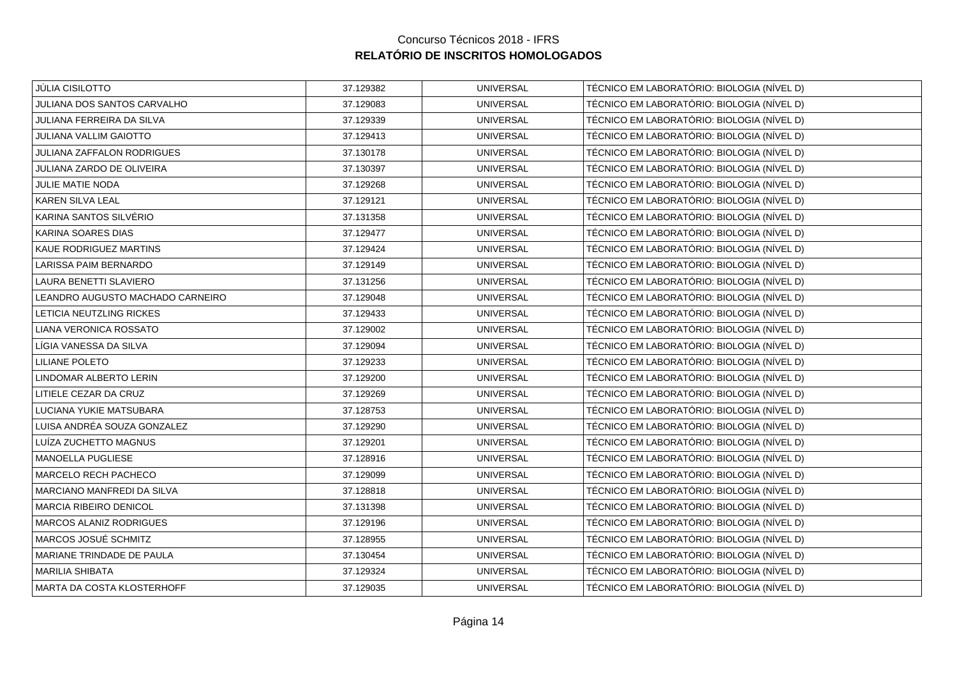| 37.129382 | <b>UNIVERSAL</b> | TÉCNICO EM LABORATÓRIO: BIOLOGIA (NÍVEL D) |
|-----------|------------------|--------------------------------------------|
| 37.129083 | <b>UNIVERSAL</b> | TÉCNICO EM LABORATÓRIO: BIOLOGIA (NÍVEL D) |
| 37.129339 | <b>UNIVERSAL</b> | TÉCNICO EM LABORATÓRIO: BIOLOGIA (NÍVEL D) |
| 37.129413 | <b>UNIVERSAL</b> | TÉCNICO EM LABORATÓRIO: BIOLOGIA (NÍVEL D) |
| 37.130178 | <b>UNIVERSAL</b> | TÉCNICO EM LABORATÓRIO: BIOLOGIA (NÍVEL D) |
| 37.130397 | <b>UNIVERSAL</b> | TÉCNICO EM LABORATÓRIO: BIOLOGIA (NÍVEL D) |
| 37.129268 | <b>UNIVERSAL</b> | TÉCNICO EM LABORATÓRIO: BIOLOGIA (NÍVEL D) |
| 37.129121 | <b>UNIVERSAL</b> | TÉCNICO EM LABORATÓRIO: BIOLOGIA (NÍVEL D) |
| 37.131358 | <b>UNIVERSAL</b> | TÉCNICO EM LABORATÓRIO: BIOLOGIA (NÍVEL D) |
| 37.129477 | <b>UNIVERSAL</b> | TÉCNICO EM LABORATÓRIO: BIOLOGIA (NÍVEL D) |
| 37.129424 | <b>UNIVERSAL</b> | TÉCNICO EM LABORATÓRIO: BIOLOGIA (NÍVEL D) |
| 37.129149 | <b>UNIVERSAL</b> | TÉCNICO EM LABORATÓRIO: BIOLOGIA (NÍVEL D) |
| 37.131256 | <b>UNIVERSAL</b> | TÉCNICO EM LABORATÓRIO: BIOLOGIA (NÍVEL D) |
| 37.129048 | <b>UNIVERSAL</b> | TÉCNICO EM LABORATÓRIO: BIOLOGIA (NÍVEL D) |
| 37.129433 | <b>UNIVERSAL</b> | TÉCNICO EM LABORATÓRIO: BIOLOGIA (NÍVEL D) |
| 37.129002 | <b>UNIVERSAL</b> | TÉCNICO EM LABORATÓRIO: BIOLOGIA (NÍVEL D) |
| 37.129094 | <b>UNIVERSAL</b> | TÉCNICO EM LABORATÓRIO: BIOLOGIA (NÍVEL D) |
| 37.129233 | <b>UNIVERSAL</b> | TÉCNICO EM LABORATÓRIO: BIOLOGIA (NÍVEL D) |
| 37.129200 | <b>UNIVERSAL</b> | TÉCNICO EM LABORATÓRIO: BIOLOGIA (NÍVEL D) |
| 37.129269 | <b>UNIVERSAL</b> | TÉCNICO EM LABORATÓRIO: BIOLOGIA (NÍVEL D) |
| 37.128753 | <b>UNIVERSAL</b> | TÉCNICO EM LABORATÓRIO: BIOLOGIA (NÍVEL D) |
| 37.129290 | <b>UNIVERSAL</b> | TÉCNICO EM LABORATÓRIO: BIOLOGIA (NÍVEL D) |
| 37.129201 | <b>UNIVERSAL</b> | TÉCNICO EM LABORATÓRIO: BIOLOGIA (NÍVEL D) |
| 37.128916 | <b>UNIVERSAL</b> | TÉCNICO EM LABORATÓRIO: BIOLOGIA (NÍVEL D) |
| 37.129099 | <b>UNIVERSAL</b> | TÉCNICO EM LABORATÓRIO: BIOLOGIA (NÍVEL D) |
| 37.128818 | <b>UNIVERSAL</b> | TÉCNICO EM LABORATÓRIO: BIOLOGIA (NÍVEL D) |
| 37.131398 | <b>UNIVERSAL</b> | TÉCNICO EM LABORATÓRIO: BIOLOGIA (NÍVEL D) |
| 37.129196 | <b>UNIVERSAL</b> | TÉCNICO EM LABORATÓRIO: BIOLOGIA (NÍVEL D) |
| 37.128955 | <b>UNIVERSAL</b> | TÉCNICO EM LABORATÓRIO: BIOLOGIA (NÍVEL D) |
| 37.130454 | <b>UNIVERSAL</b> | TÉCNICO EM LABORATÓRIO: BIOLOGIA (NÍVEL D) |
| 37.129324 | <b>UNIVERSAL</b> | TÉCNICO EM LABORATÓRIO: BIOLOGIA (NÍVEL D) |
| 37.129035 | <b>UNIVERSAL</b> | TÉCNICO EM LABORATÓRIO: BIOLOGIA (NÍVEL D) |
|           |                  |                                            |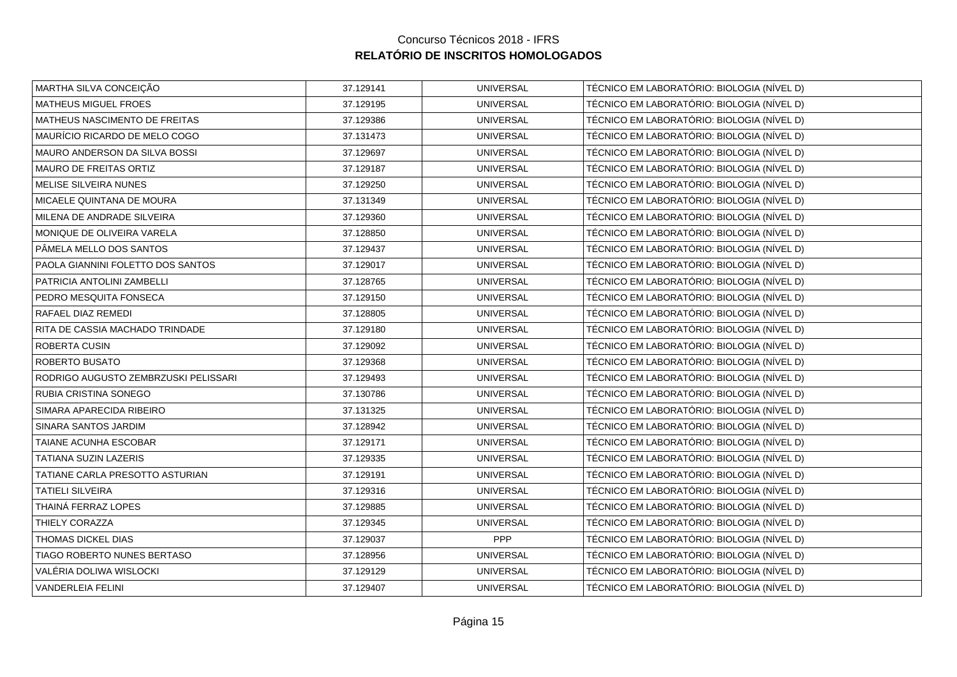| MARTHA SILVA CONCEIÇÃO               | 37.129141 | <b>UNIVERSAL</b> | TÉCNICO EM LABORATÓRIO: BIOLOGIA (NÍVEL D) |
|--------------------------------------|-----------|------------------|--------------------------------------------|
| MATHEUS MIGUEL FROES                 | 37.129195 | <b>UNIVERSAL</b> | TÉCNICO EM LABORATÓRIO: BIOLOGIA (NÍVEL D) |
| MATHEUS NASCIMENTO DE FREITAS        | 37.129386 | <b>UNIVERSAL</b> | TÉCNICO EM LABORATÓRIO: BIOLOGIA (NÍVEL D) |
| MAURÍCIO RICARDO DE MELO COGO        | 37.131473 | <b>UNIVERSAL</b> | TÉCNICO EM LABORATÓRIO: BIOLOGIA (NÍVEL D) |
| MAURO ANDERSON DA SILVA BOSSI        | 37.129697 | <b>UNIVERSAL</b> | TÉCNICO EM LABORATÓRIO: BIOLOGIA (NÍVEL D) |
| MAURO DE FREITAS ORTIZ               | 37.129187 | <b>UNIVERSAL</b> | TÉCNICO EM LABORATÓRIO: BIOLOGIA (NÍVEL D) |
| MELISE SILVEIRA NUNES                | 37.129250 | <b>UNIVERSAL</b> | TÉCNICO EM LABORATÓRIO: BIOLOGIA (NÍVEL D) |
| MICAELE QUINTANA DE MOURA            | 37.131349 | <b>UNIVERSAL</b> | TÉCNICO EM LABORATÓRIO: BIOLOGIA (NÍVEL D) |
| MILENA DE ANDRADE SILVEIRA           | 37.129360 | <b>UNIVERSAL</b> | TÉCNICO EM LABORATÓRIO: BIOLOGIA (NÍVEL D) |
| MONIQUE DE OLIVEIRA VARELA           | 37.128850 | <b>UNIVERSAL</b> | TÉCNICO EM LABORATÓRIO: BIOLOGIA (NÍVEL D) |
| PÂMELA MELLO DOS SANTOS              | 37.129437 | <b>UNIVERSAL</b> | TÉCNICO EM LABORATÓRIO: BIOLOGIA (NÍVEL D) |
| PAOLA GIANNINI FOLETTO DOS SANTOS    | 37.129017 | <b>UNIVERSAL</b> | TÉCNICO EM LABORATÓRIO: BIOLOGIA (NÍVEL D) |
| PATRICIA ANTOLINI ZAMBELLI           | 37.128765 | <b>UNIVERSAL</b> | TÉCNICO EM LABORATÓRIO: BIOLOGIA (NÍVEL D) |
| PEDRO MESQUITA FONSECA               | 37.129150 | <b>UNIVERSAL</b> | TÉCNICO EM LABORATÓRIO: BIOLOGIA (NÍVEL D) |
| RAFAEL DIAZ REMEDI                   | 37.128805 | <b>UNIVERSAL</b> | TÉCNICO EM LABORATÓRIO: BIOLOGIA (NÍVEL D) |
| RITA DE CASSIA MACHADO TRINDADE      | 37.129180 | <b>UNIVERSAL</b> | TÉCNICO EM LABORATÓRIO: BIOLOGIA (NÍVEL D) |
| ROBERTA CUSIN                        | 37.129092 | <b>UNIVERSAL</b> | TÉCNICO EM LABORATÓRIO: BIOLOGIA (NÍVEL D) |
| ROBERTO BUSATO                       | 37.129368 | <b>UNIVERSAL</b> | TÉCNICO EM LABORATÓRIO: BIOLOGIA (NÍVEL D) |
| RODRIGO AUGUSTO ZEMBRZUSKI PELISSARI | 37.129493 | <b>UNIVERSAL</b> | TÉCNICO EM LABORATÓRIO: BIOLOGIA (NÍVEL D) |
| RUBIA CRISTINA SONEGO                | 37.130786 | <b>UNIVERSAL</b> | TÉCNICO EM LABORATÓRIO: BIOLOGIA (NÍVEL D) |
| SIMARA APARECIDA RIBEIRO             | 37.131325 | <b>UNIVERSAL</b> | TÉCNICO EM LABORATÓRIO: BIOLOGIA (NÍVEL D) |
| SINARA SANTOS JARDIM                 | 37.128942 | <b>UNIVERSAL</b> | TÉCNICO EM LABORATÓRIO: BIOLOGIA (NÍVEL D) |
| TAIANE ACUNHA ESCOBAR                | 37.129171 | <b>UNIVERSAL</b> | TÉCNICO EM LABORATÓRIO: BIOLOGIA (NÍVEL D) |
| <b>TATIANA SUZIN LAZERIS</b>         | 37.129335 | <b>UNIVERSAL</b> | TÉCNICO EM LABORATÓRIO: BIOLOGIA (NÍVEL D) |
| TATIANE CARLA PRESOTTO ASTURIAN      | 37.129191 | <b>UNIVERSAL</b> | TÉCNICO EM LABORATÓRIO: BIOLOGIA (NÍVEL D) |
| <b>TATIELI SILVEIRA</b>              | 37.129316 | <b>UNIVERSAL</b> | TÉCNICO EM LABORATÓRIO: BIOLOGIA (NÍVEL D) |
| THAINÁ FERRAZ LOPES                  | 37.129885 | <b>UNIVERSAL</b> | TÉCNICO EM LABORATÓRIO: BIOLOGIA (NÍVEL D) |
| THIELY CORAZZA                       | 37.129345 | <b>UNIVERSAL</b> | TÉCNICO EM LABORATÓRIO: BIOLOGIA (NÍVEL D) |
| THOMAS DICKEL DIAS                   | 37.129037 | PPP              | TÉCNICO EM LABORATÓRIO: BIOLOGIA (NÍVEL D) |
| TIAGO ROBERTO NUNES BERTASO          | 37.128956 | <b>UNIVERSAL</b> | TÉCNICO EM LABORATÓRIO: BIOLOGIA (NÍVEL D) |
| VALÉRIA DOLIWA WISLOCKI              | 37.129129 | <b>UNIVERSAL</b> | TÉCNICO EM LABORATÓRIO: BIOLOGIA (NÍVEL D) |
| <b>VANDERLEIA FELINI</b>             | 37.129407 | <b>UNIVERSAL</b> | TÉCNICO EM LABORATÓRIO: BIOLOGIA (NÍVEL D) |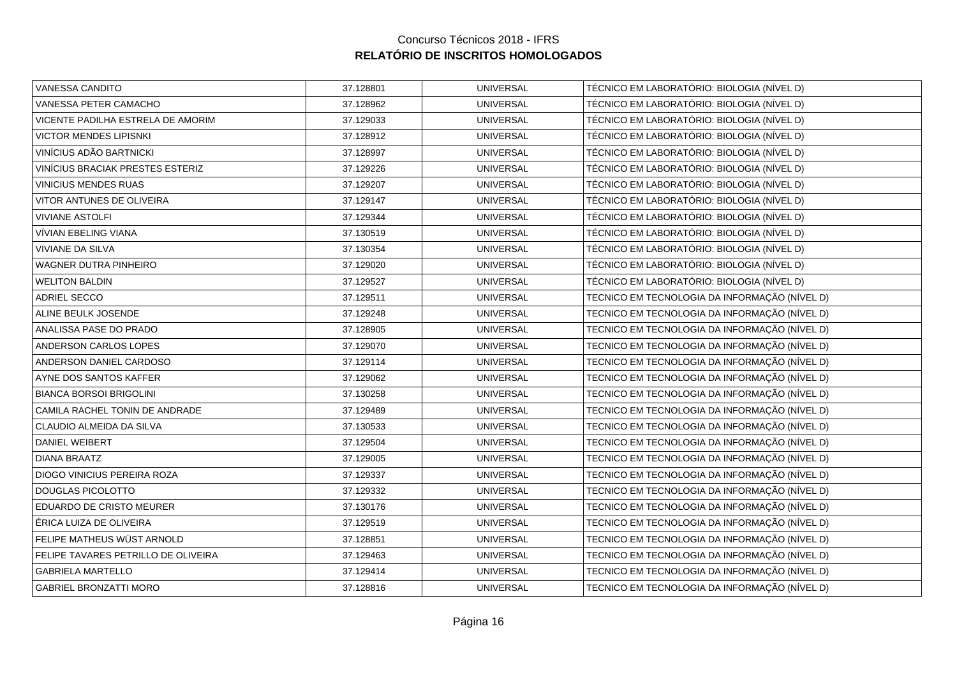| VANESSA CANDITO                     | 37.128801 | <b>UNIVERSAL</b> | TÉCNICO EM LABORATÓRIO: BIOLOGIA (NÍVEL D)    |
|-------------------------------------|-----------|------------------|-----------------------------------------------|
| VANESSA PETER CAMACHO               | 37.128962 | <b>UNIVERSAL</b> | TÉCNICO EM LABORATÓRIO: BIOLOGIA (NÍVEL D)    |
| VICENTE PADILHA ESTRELA DE AMORIM   | 37.129033 | <b>UNIVERSAL</b> | TÉCNICO EM LABORATÓRIO: BIOLOGIA (NÍVEL D)    |
| <b>VICTOR MENDES LIPISNKI</b>       | 37.128912 | <b>UNIVERSAL</b> | TÉCNICO EM LABORATÓRIO: BIOLOGIA (NÍVEL D)    |
| VINÍCIUS ADÃO BARTNICKI             | 37.128997 | <b>UNIVERSAL</b> | TÉCNICO EM LABORATÓRIO: BIOLOGIA (NÍVEL D)    |
| VINÍCIUS BRACIAK PRESTES ESTERIZ    | 37.129226 | <b>UNIVERSAL</b> | TÉCNICO EM LABORATÓRIO: BIOLOGIA (NÍVEL D)    |
| VINICIUS MENDES RUAS                | 37.129207 | <b>UNIVERSAL</b> | TÉCNICO EM LABORATÓRIO: BIOLOGIA (NÍVEL D)    |
| VITOR ANTUNES DE OLIVEIRA           | 37.129147 | <b>UNIVERSAL</b> | TÉCNICO EM LABORATÓRIO: BIOLOGIA (NÍVEL D)    |
| <b>VIVIANE ASTOLFI</b>              | 37.129344 | <b>UNIVERSAL</b> | TÉCNICO EM LABORATÓRIO: BIOLOGIA (NÍVEL D)    |
| VÍVIAN EBELING VIANA                | 37.130519 | <b>UNIVERSAL</b> | TÉCNICO EM LABORATÓRIO: BIOLOGIA (NÍVEL D)    |
| <b>VIVIANE DA SILVA</b>             | 37.130354 | <b>UNIVERSAL</b> | TÉCNICO EM LABORATÓRIO: BIOLOGIA (NÍVEL D)    |
| <b>WAGNER DUTRA PINHEIRO</b>        | 37.129020 | <b>UNIVERSAL</b> | TÉCNICO EM LABORATÓRIO: BIOLOGIA (NÍVEL D)    |
| <b>WELITON BALDIN</b>               | 37.129527 | <b>UNIVERSAL</b> | TÉCNICO EM LABORATÓRIO: BIOLOGIA (NÍVEL D)    |
| ADRIEL SECCO                        | 37.129511 | <b>UNIVERSAL</b> | TECNICO EM TECNOLOGIA DA INFORMAÇÃO (NÍVEL D) |
| ALINE BEULK JOSENDE                 | 37.129248 | <b>UNIVERSAL</b> | TECNICO EM TECNOLOGIA DA INFORMAÇÃO (NÍVEL D) |
| ANALISSA PASE DO PRADO              | 37.128905 | <b>UNIVERSAL</b> | TECNICO EM TECNOLOGIA DA INFORMAÇÃO (NÍVEL D) |
| ANDERSON CARLOS LOPES               | 37.129070 | <b>UNIVERSAL</b> | TECNICO EM TECNOLOGIA DA INFORMAÇÃO (NÍVEL D) |
| ANDERSON DANIEL CARDOSO             | 37.129114 | <b>UNIVERSAL</b> | TECNICO EM TECNOLOGIA DA INFORMAÇÃO (NÍVEL D) |
| AYNE DOS SANTOS KAFFER              | 37.129062 | <b>UNIVERSAL</b> | TECNICO EM TECNOLOGIA DA INFORMAÇÃO (NÍVEL D) |
| <b>BIANCA BORSOI BRIGOLINI</b>      | 37.130258 | <b>UNIVERSAL</b> | TECNICO EM TECNOLOGIA DA INFORMAÇÃO (NÍVEL D) |
| CAMILA RACHEL TONIN DE ANDRADE      | 37.129489 | <b>UNIVERSAL</b> | TECNICO EM TECNOLOGIA DA INFORMAÇÃO (NÍVEL D) |
| CLAUDIO ALMEIDA DA SILVA            | 37.130533 | <b>UNIVERSAL</b> | TECNICO EM TECNOLOGIA DA INFORMAÇÃO (NÍVEL D) |
| DANIEL WEIBERT                      | 37.129504 | <b>UNIVERSAL</b> | TECNICO EM TECNOLOGIA DA INFORMAÇÃO (NÍVEL D) |
| <b>DIANA BRAATZ</b>                 | 37.129005 | <b>UNIVERSAL</b> | TECNICO EM TECNOLOGIA DA INFORMAÇÃO (NÍVEL D) |
| DIOGO VINICIUS PEREIRA ROZA         | 37.129337 | <b>UNIVERSAL</b> | TECNICO EM TECNOLOGIA DA INFORMAÇÃO (NÍVEL D) |
| DOUGLAS PICOLOTTO                   | 37.129332 | <b>UNIVERSAL</b> | TECNICO EM TECNOLOGIA DA INFORMAÇÃO (NÍVEL D) |
| EDUARDO DE CRISTO MEURER            | 37.130176 | <b>UNIVERSAL</b> | TECNICO EM TECNOLOGIA DA INFORMAÇÃO (NÍVEL D) |
| ÉRICA LUIZA DE OLIVEIRA             | 37.129519 | <b>UNIVERSAL</b> | TECNICO EM TECNOLOGIA DA INFORMAÇÃO (NÍVEL D) |
| FELIPE MATHEUS WÜST ARNOLD          | 37.128851 | <b>UNIVERSAL</b> | TECNICO EM TECNOLOGIA DA INFORMAÇÃO (NÍVEL D) |
| FELIPE TAVARES PETRILLO DE OLIVEIRA | 37.129463 | <b>UNIVERSAL</b> | TECNICO EM TECNOLOGIA DA INFORMAÇÃO (NÍVEL D) |
| <b>GABRIELA MARTELLO</b>            | 37.129414 | <b>UNIVERSAL</b> | TECNICO EM TECNOLOGIA DA INFORMAÇÃO (NÍVEL D) |
| <b>GABRIEL BRONZATTI MORO</b>       | 37.128816 | <b>UNIVERSAL</b> | TECNICO EM TECNOLOGIA DA INFORMAÇÃO (NÍVEL D) |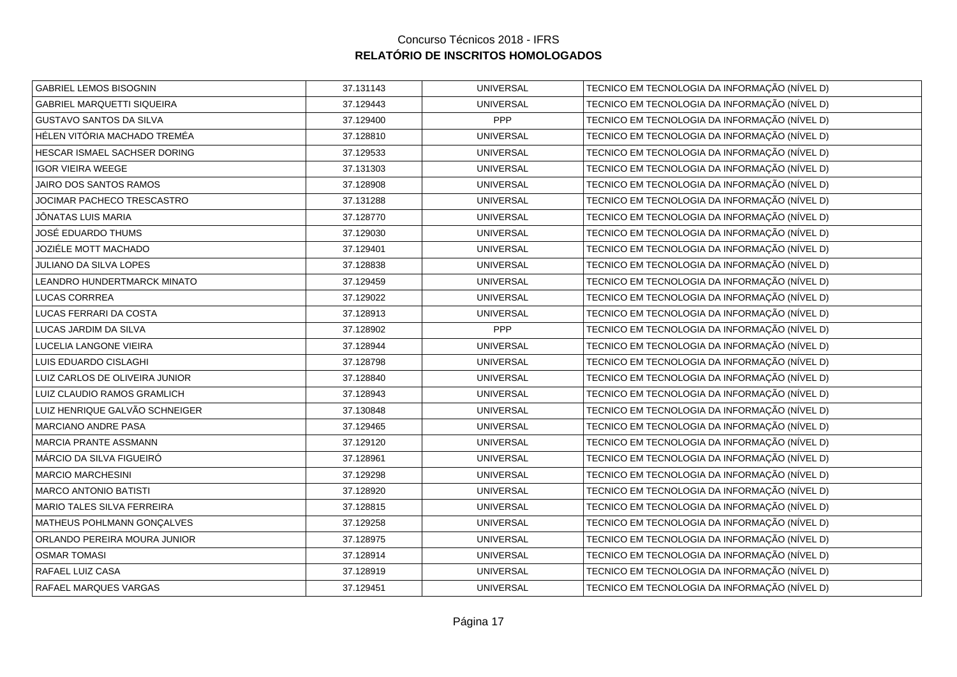| <b>GABRIEL LEMOS BISOGNIN</b>     | 37.131143 | <b>UNIVERSAL</b> | TECNICO EM TECNOLOGIA DA INFORMAÇÃO (NÍVEL D) |
|-----------------------------------|-----------|------------------|-----------------------------------------------|
| <b>GABRIEL MARQUETTI SIQUEIRA</b> | 37.129443 | <b>UNIVERSAL</b> | TECNICO EM TECNOLOGIA DA INFORMAÇÃO (NÍVEL D) |
| <b>GUSTAVO SANTOS DA SILVA</b>    | 37.129400 | PPP              | TECNICO EM TECNOLOGIA DA INFORMAÇÃO (NÍVEL D) |
| HÉLEN VITÓRIA MACHADO TREMÉA      | 37.128810 | <b>UNIVERSAL</b> | TECNICO EM TECNOLOGIA DA INFORMAÇÃO (NÍVEL D) |
| HESCAR ISMAEL SACHSER DORING      | 37.129533 | <b>UNIVERSAL</b> | TECNICO EM TECNOLOGIA DA INFORMAÇÃO (NÍVEL D) |
| <b>IGOR VIEIRA WEEGE</b>          | 37.131303 | <b>UNIVERSAL</b> | TECNICO EM TECNOLOGIA DA INFORMAÇÃO (NÍVEL D) |
| JAIRO DOS SANTOS RAMOS            | 37.128908 | <b>UNIVERSAL</b> | TECNICO EM TECNOLOGIA DA INFORMAÇÃO (NÍVEL D) |
| JOCIMAR PACHECO TRESCASTRO        | 37.131288 | <b>UNIVERSAL</b> | TECNICO EM TECNOLOGIA DA INFORMAÇÃO (NÍVEL D) |
| JÔNATAS LUIS MARIA                | 37.128770 | <b>UNIVERSAL</b> | TECNICO EM TECNOLOGIA DA INFORMAÇÃO (NÍVEL D) |
| JOSÉ EDUARDO THUMS                | 37.129030 | <b>UNIVERSAL</b> | TECNICO EM TECNOLOGIA DA INFORMAÇÃO (NÍVEL D) |
| JOZIÉLE MOTT MACHADO              | 37.129401 | <b>UNIVERSAL</b> | TECNICO EM TECNOLOGIA DA INFORMAÇÃO (NÍVEL D) |
| JULIANO DA SILVA LOPES            | 37.128838 | <b>UNIVERSAL</b> | TECNICO EM TECNOLOGIA DA INFORMAÇÃO (NÍVEL D) |
| LEANDRO HUNDERTMARCK MINATO       | 37.129459 | <b>UNIVERSAL</b> | TECNICO EM TECNOLOGIA DA INFORMAÇÃO (NÍVEL D) |
| <b>LUCAS CORRREA</b>              | 37.129022 | <b>UNIVERSAL</b> | TECNICO EM TECNOLOGIA DA INFORMAÇÃO (NÍVEL D) |
| LUCAS FERRARI DA COSTA            | 37.128913 | <b>UNIVERSAL</b> | TECNICO EM TECNOLOGIA DA INFORMAÇÃO (NÍVEL D) |
| LUCAS JARDIM DA SILVA             | 37.128902 | <b>PPP</b>       | TECNICO EM TECNOLOGIA DA INFORMAÇÃO (NÍVEL D) |
| LUCELIA LANGONE VIEIRA            | 37.128944 | <b>UNIVERSAL</b> | TECNICO EM TECNOLOGIA DA INFORMAÇÃO (NÍVEL D) |
| LUIS EDUARDO CISLAGHI             | 37.128798 | <b>UNIVERSAL</b> | TECNICO EM TECNOLOGIA DA INFORMAÇÃO (NÍVEL D) |
| LUIZ CARLOS DE OLIVEIRA JUNIOR    | 37.128840 | <b>UNIVERSAL</b> | TECNICO EM TECNOLOGIA DA INFORMAÇÃO (NÍVEL D) |
| LUIZ CLAUDIO RAMOS GRAMLICH       | 37.128943 | <b>UNIVERSAL</b> | TECNICO EM TECNOLOGIA DA INFORMAÇÃO (NÍVEL D) |
| LUIZ HENRIQUE GALVÃO SCHNEIGER    | 37.130848 | <b>UNIVERSAL</b> | TECNICO EM TECNOLOGIA DA INFORMAÇÃO (NÍVEL D) |
| MARCIANO ANDRE PASA               | 37.129465 | <b>UNIVERSAL</b> | TECNICO EM TECNOLOGIA DA INFORMAÇÃO (NÍVEL D) |
| MARCIA PRANTE ASSMANN             | 37.129120 | <b>UNIVERSAL</b> | TECNICO EM TECNOLOGIA DA INFORMAÇÃO (NÍVEL D) |
| MÁRCIO DA SILVA FIGUEIRÓ          | 37.128961 | <b>UNIVERSAL</b> | TECNICO EM TECNOLOGIA DA INFORMAÇÃO (NÍVEL D) |
| <b>MARCIO MARCHESINI</b>          | 37.129298 | <b>UNIVERSAL</b> | TECNICO EM TECNOLOGIA DA INFORMAÇÃO (NÍVEL D) |
| <b>MARCO ANTONIO BATISTI</b>      | 37.128920 | <b>UNIVERSAL</b> | TECNICO EM TECNOLOGIA DA INFORMAÇÃO (NÍVEL D) |
| MARIO TALES SILVA FERREIRA        | 37.128815 | <b>UNIVERSAL</b> | TECNICO EM TECNOLOGIA DA INFORMAÇÃO (NÍVEL D) |
| MATHEUS POHLMANN GONÇALVES        | 37.129258 | <b>UNIVERSAL</b> | TECNICO EM TECNOLOGIA DA INFORMAÇÃO (NÍVEL D) |
| ORLANDO PEREIRA MOURA JUNIOR      | 37.128975 | <b>UNIVERSAL</b> | TECNICO EM TECNOLOGIA DA INFORMAÇÃO (NÍVEL D) |
| <b>OSMAR TOMASI</b>               | 37.128914 | <b>UNIVERSAL</b> | TECNICO EM TECNOLOGIA DA INFORMAÇÃO (NÍVEL D) |
| RAFAEL LUIZ CASA                  | 37.128919 | <b>UNIVERSAL</b> | TECNICO EM TECNOLOGIA DA INFORMAÇÃO (NÍVEL D) |
| RAFAEL MARQUES VARGAS             | 37.129451 | <b>UNIVERSAL</b> | TECNICO EM TECNOLOGIA DA INFORMAÇÃO (NÍVEL D) |